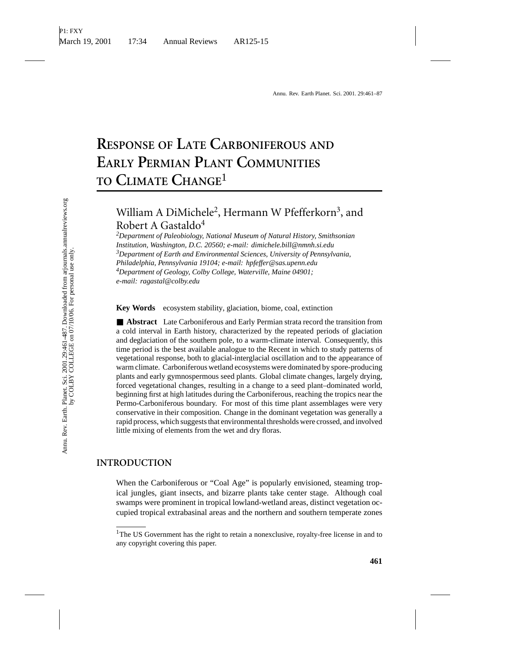# **RESPONSE OF LATE CARBONIFEROUS AND EARLY PERMIAN PLANT COMMUNITIES TO CLIMATE CHANGE**<sup>1</sup>

# William A DiMichele<sup>2</sup>, Hermann W Pfefferkorn<sup>3</sup>, and Robert A Gastaldo<sup>4</sup>

*2Department of Paleobiology, National Museum of Natural History, Smithsonian Institution, Washington, D.C. 20560; e-mail: dimichele.bill@nmnh.si.edu 3Department of Earth and Environmental Sciences, University of Pennsylvania, Philadelphia, Pennsylvania 19104; e-mail: hpfeffer@sas.upenn.edu 4Department of Geology, Colby College, Waterville, Maine 04901; e-mail: ragastal@colby.edu*

**Key Words** ecosystem stability, glaciation, biome, coal, extinction

■ **Abstract** Late Carboniferous and Early Permian strata record the transition from a cold interval in Earth history, characterized by the repeated periods of glaciation and deglaciation of the southern pole, to a warm-climate interval. Consequently, this time period is the best available analogue to the Recent in which to study patterns of vegetational response, both to glacial-interglacial oscillation and to the appearance of warm climate. Carboniferous wetland ecosystems were dominated by spore-producing plants and early gymnospermous seed plants. Global climate changes, largely drying, forced vegetational changes, resulting in a change to a seed plant–dominated world, beginning first at high latitudes during the Carboniferous, reaching the tropics near the Permo-Carboniferous boundary. For most of this time plant assemblages were very conservative in their composition. Change in the dominant vegetation was generally a rapid process, which suggests that environmental thresholds were crossed, and involved little mixing of elements from the wet and dry floras.

# **INTRODUCTION**

When the Carboniferous or "Coal Age" is popularly envisioned, steaming tropical jungles, giant insects, and bizarre plants take center stage. Although coal swamps were prominent in tropical lowland-wetland areas, distinct vegetation occupied tropical extrabasinal areas and the northern and southern temperate zones

<sup>&</sup>lt;sup>1</sup>The US Government has the right to retain a nonexclusive, royalty-free license in and to any copyright covering this paper.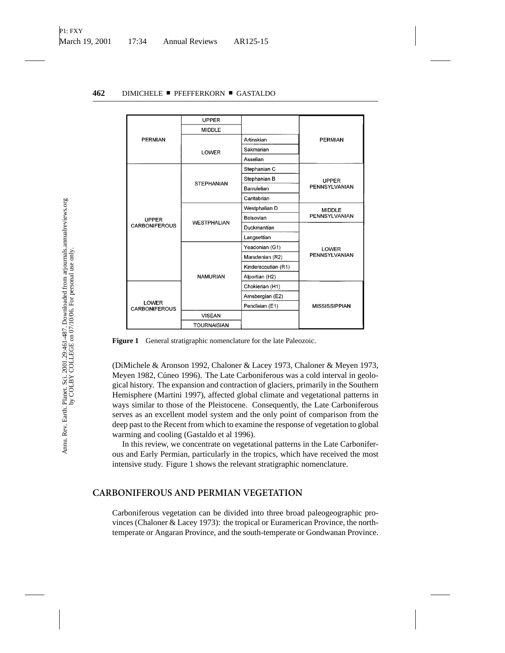| <b>PERMIAN</b>                       | <b>UPPER</b>       |                     |                                       |
|--------------------------------------|--------------------|---------------------|---------------------------------------|
|                                      | <b>MIDDLE</b>      |                     |                                       |
|                                      | <b>LOWER</b>       | Artinskian          | PERMIAN                               |
|                                      |                    | Sakmarian           |                                       |
|                                      |                    | Asselian            |                                       |
| <b>UPPER</b><br><b>CARBONIFEROUS</b> | <b>STEPHANIAN</b>  | Stephanian C        | <b>UPPER</b><br>PENNSYLVANIAN         |
|                                      |                    | Stephanian B        |                                       |
|                                      |                    | Barrulelian         |                                       |
|                                      |                    | Cantabrian          |                                       |
|                                      | <b>WESTPHALIAN</b> | Westphalian D       | <b>MIDDLE</b><br><b>PENNSYLVANIAN</b> |
|                                      |                    | Bolsovian           |                                       |
|                                      |                    | Duckmantian         | <b>LOWER</b><br>PENNSYLVANIAN         |
|                                      |                    | Langsettian         |                                       |
|                                      | <b>NAMURIAN</b>    | Yeadonian (G1)      |                                       |
|                                      |                    | Marsdenian (R2)     |                                       |
|                                      |                    | Kinderscoutian (R1) |                                       |
|                                      |                    | Alportian (H2)      |                                       |
| LOWER<br><b>CARBONIFEROUS</b>        |                    | Chokierian (H1)     | <b>MISSISSIPPIAN</b>                  |
|                                      |                    | Arnsbergian (E2)    |                                       |
|                                      |                    | Pendleian (E1)      |                                       |
|                                      | <b>VISEAN</b>      |                     |                                       |
|                                      | <b>TOURNAISIAN</b> |                     |                                       |

**Figure 1** General stratigraphic nomenclature for the late Paleozoic.

(DiMichele & Aronson 1992, Chaloner & Lacey 1973, Chaloner & Meyen 1973, Meyen 1982, Cúneo 1996). The Late Carboniferous was a cold interval in geological history. The expansion and contraction of glaciers, primarily in the Southern Hemisphere (Martini 1997), affected global climate and vegetational patterns in ways similar to those of the Pleistocene. Consequently, the Late Carboniferous serves as an excellent model system and the only point of comparison from the deep past to the Recent from which to examine the response of vegetation to global warming and cooling (Gastaldo et al 1996).

In this review, we concentrate on vegetational patterns in the Late Carboniferous and Early Permian, particularly in the tropics, which have received the most intensive study. Figure 1 shows the relevant stratigraphic nomenclature.

## **CARBONIFEROUS AND PERMIAN VEGETATION**

Carboniferous vegetation can be divided into three broad paleogeographic provinces (Chaloner & Lacey 1973): the tropical or Euramerican Province, the northtemperate or Angaran Province, and the south-temperate or Gondwanan Province.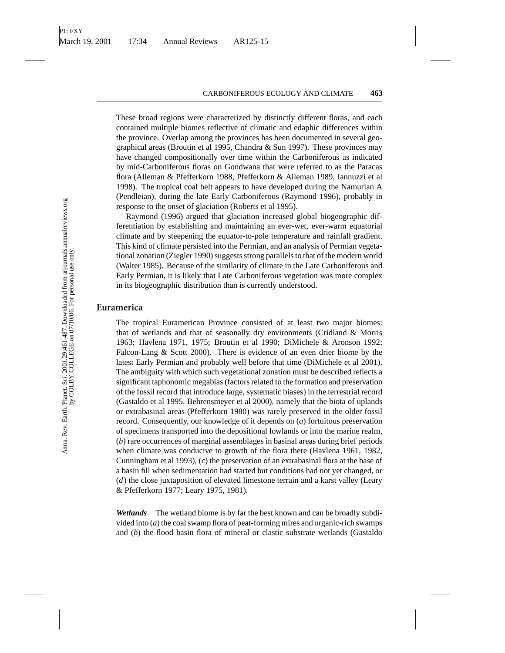These broad regions were characterized by distinctly different floras, and each contained multiple biomes reflective of climatic and edaphic differences within the province. Overlap among the provinces has been documented in several geographical areas (Broutin et al 1995, Chandra & Sun 1997). These provinces may have changed compositionally over time within the Carboniferous as indicated by mid-Carboniferous floras on Gondwana that were referred to as the Paracas flora (Alleman & Pfefferkorn 1988, Pfefferkorn & Alleman 1989, Iannuzzi et al 1998). The tropical coal belt appears to have developed during the Namurian A (Pendleian), during the late Early Carboniferous (Raymond 1996), probably in response to the onset of glaciation (Roberts et al 1995).

Raymond (1996) argued that glaciation increased global biogeographic differentiation by establishing and maintaining an ever-wet, ever-warm equatorial climate and by steepening the equator-to-pole temperature and rainfall gradient. This kind of climate persisted into the Permian, and an analysis of Permian vegetational zonation (Ziegler 1990) suggests strong parallels to that of the modern world (Walter 1985). Because of the similarity of climate in the Late Carboniferous and Early Permian, it is likely that Late Carboniferous vegetation was more complex in its biogeographic distribution than is currently understood.

### **Euramerica**

The tropical Euramerican Province consisted of at least two major biomes: that of wetlands and that of seasonally dry environments (Cridland & Morris 1963; Havlena 1971, 1975; Broutin et al 1990; DiMichele & Aronson 1992; Falcon-Lang & Scott 2000). There is evidence of an even drier biome by the latest Early Permian and probably well before that time (DiMichele et al 2001). The ambiguity with which such vegetational zonation must be described reflects a significant taphonomic megabias (factors related to the formation and preservation of the fossil record that introduce large, systematic biases) in the terrestrial record (Gastaldo et al 1995, Behrensmeyer et al 2000), namely that the biota of uplands or extrabasinal areas (Pfefferkorn 1980) was rarely preserved in the older fossil record. Consequently, our knowledge of it depends on (*a*) fortuitous preservation of specimens transported into the depositional lowlands or into the marine realm, (*b*) rare occurrences of marginal assemblages in basinal areas during brief periods when climate was conducive to growth of the flora there (Havlena 1961, 1982, Cunningham et al 1993), (*c*) the preservation of an extrabasinal flora at the base of a basin fill when sedimentation had started but conditions had not yet changed, or (*d*) the close juxtaposition of elevated limestone terrain and a karst valley (Leary & Pfefferkorn 1977; Leary 1975, 1981).

*Wetlands* The wetland biome is by far the best known and can be broadly subdivided into  $(a)$  the coal swamp flora of peat-forming mires and organic-rich swamps and (*b*) the flood basin flora of mineral or clastic substrate wetlands (Gastaldo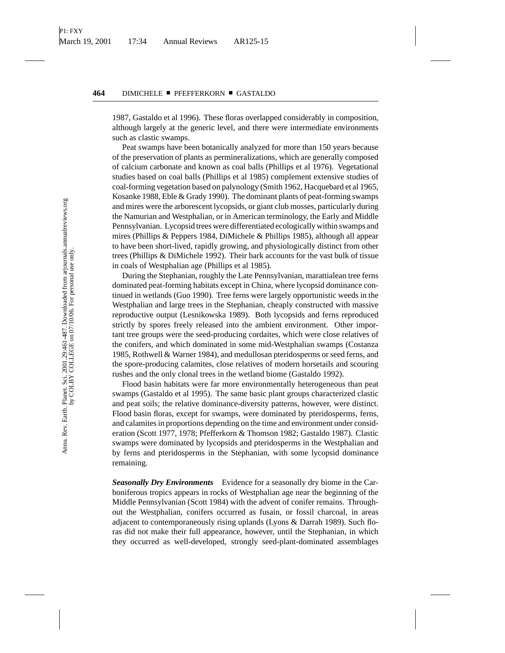1987, Gastaldo et al 1996). These floras overlapped considerably in composition, although largely at the generic level, and there were intermediate environments such as clastic swamps.

Peat swamps have been botanically analyzed for more than 150 years because of the preservation of plants as permineralizations, which are generally composed of calcium carbonate and known as coal balls (Phillips et al 1976). Vegetational studies based on coal balls (Phillips et al 1985) complement extensive studies of coal-forming vegetation based on palynology (Smith 1962, Hacquebard et al 1965, Kosanke 1988, Eble & Grady 1990). The dominant plants of peat-forming swamps and mires were the arborescent lycopsids, or giant club mosses, particularly during the Namurian and Westphalian, or in American terminology, the Early and Middle Pennsylvanian. Lycopsid trees were differentiated ecologically within swamps and mires (Phillips & Peppers 1984, DiMichele & Phillips 1985), although all appear to have been short-lived, rapidly growing, and physiologically distinct from other trees (Phillips & DiMichele 1992). Their bark accounts for the vast bulk of tissue in coals of Westphalian age (Phillips et al 1985).

During the Stephanian, roughly the Late Pennsylvanian, marattialean tree ferns dominated peat-forming habitats except in China, where lycopsid dominance continued in wetlands (Guo 1990). Tree ferns were largely opportunistic weeds in the Westphalian and large trees in the Stephanian, cheaply constructed with massive reproductive output (Lesnikowska 1989). Both lycopsids and ferns reproduced strictly by spores freely released into the ambient environment. Other important tree groups were the seed-producing cordaites, which were close relatives of the conifers, and which dominated in some mid-Westphalian swamps (Costanza 1985, Rothwell & Warner 1984), and medullosan pteridosperms or seed ferns, and the spore-producing calamites, close relatives of modern horsetails and scouring rushes and the only clonal trees in the wetland biome (Gastaldo 1992).

Flood basin habitats were far more environmentally heterogeneous than peat swamps (Gastaldo et al 1995). The same basic plant groups characterized clastic and peat soils; the relative dominance-diversity patterns, however, were distinct. Flood basin floras, except for swamps, were dominated by pteridosperms, ferns, and calamites in proportions depending on the time and environment under consideration (Scott 1977, 1978; Pfefferkorn & Thomson 1982; Gastaldo 1987). Clastic swamps were dominated by lycopsids and pteridosperms in the Westphalian and by ferns and pteridosperms in the Stephanian, with some lycopsid dominance remaining.

*Seasonally Dry Environments* Evidence for a seasonally dry biome in the Carboniferous tropics appears in rocks of Westphalian age near the beginning of the Middle Pennsylvanian (Scott 1984) with the advent of conifer remains. Throughout the Westphalian, conifers occurred as fusain, or fossil charcoal, in areas adjacent to contemporaneously rising uplands (Lyons & Darrah 1989). Such floras did not make their full appearance, however, until the Stephanian, in which they occurred as well-developed, strongly seed-plant-dominated assemblages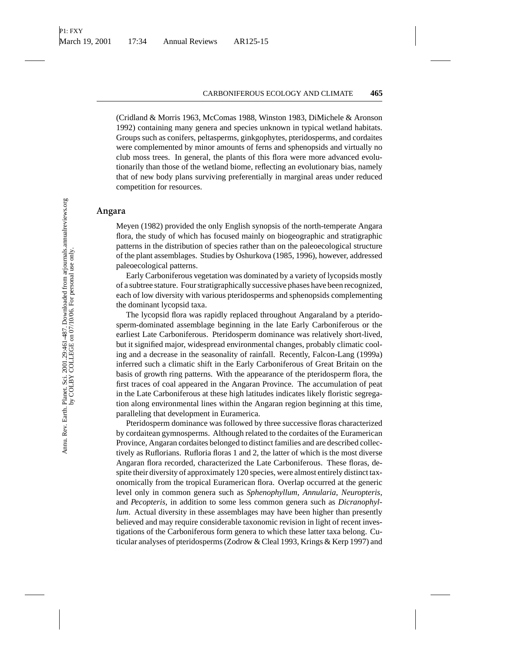(Cridland & Morris 1963, McComas 1988, Winston 1983, DiMichele & Aronson 1992) containing many genera and species unknown in typical wetland habitats. Groups such as conifers, peltasperms, ginkgophytes, pteridosperms, and cordaites were complemented by minor amounts of ferns and sphenopsids and virtually no club moss trees. In general, the plants of this flora were more advanced evolutionarily than those of the wetland biome, reflecting an evolutionary bias, namely that of new body plans surviving preferentially in marginal areas under reduced competition for resources.

#### **Angara**

Meyen (1982) provided the only English synopsis of the north-temperate Angara flora, the study of which has focused mainly on biogeographic and stratigraphic patterns in the distribution of species rather than on the paleoecological structure of the plant assemblages. Studies by Oshurkova (1985, 1996), however, addressed paleoecological patterns.

Early Carboniferous vegetation was dominated by a variety of lycopsids mostly of a subtree stature. Four stratigraphically successive phases have been recognized, each of low diversity with various pteridosperms and sphenopsids complementing the dominant lycopsid taxa.

The lycopsid flora was rapidly replaced throughout Angaraland by a pteridosperm-dominated assemblage beginning in the late Early Carboniferous or the earliest Late Carboniferous. Pteridosperm dominance was relatively short-lived, but it signified major, widespread environmental changes, probably climatic cooling and a decrease in the seasonality of rainfall. Recently, Falcon-Lang (1999a) inferred such a climatic shift in the Early Carboniferous of Great Britain on the basis of growth ring patterns. With the appearance of the pteridosperm flora, the first traces of coal appeared in the Angaran Province. The accumulation of peat in the Late Carboniferous at these high latitudes indicates likely floristic segregation along environmental lines within the Angaran region beginning at this time, paralleling that development in Euramerica.

Pteridosperm dominance was followed by three successive floras characterized by cordaitean gymnosperms. Although related to the cordaites of the Euramerican Province, Angaran cordaites belonged to distinct families and are described collectively as Ruflorians. Rufloria floras 1 and 2, the latter of which is the most diverse Angaran flora recorded, characterized the Late Carboniferous. These floras, despite their diversity of approximately 120 species, were almost entirely distinct taxonomically from the tropical Euramerican flora. Overlap occurred at the generic level only in common genera such as *Sphenophyllum*, *Annularia*, *Neuropteris*, and *Pecopteris*, in addition to some less common genera such as *Dicranophyllum*. Actual diversity in these assemblages may have been higher than presently believed and may require considerable taxonomic revision in light of recent investigations of the Carboniferous form genera to which these latter taxa belong. Cuticular analyses of pteridosperms (Zodrow & Cleal 1993, Krings & Kerp 1997) and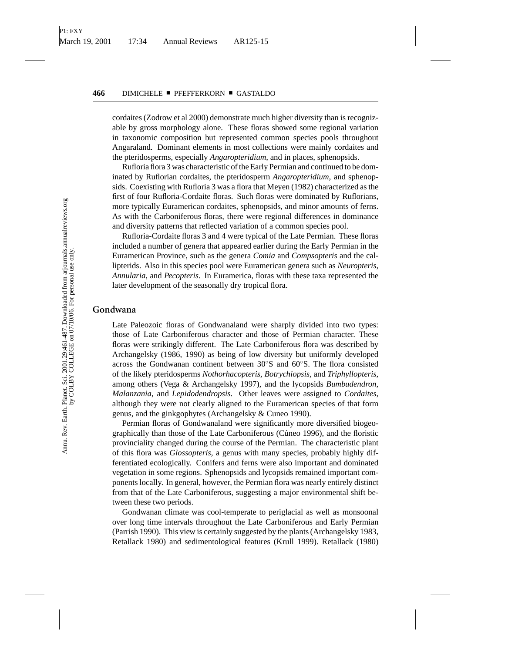cordaites (Zodrow et al 2000) demonstrate much higher diversity than is recognizable by gross morphology alone. These floras showed some regional variation in taxonomic composition but represented common species pools throughout Angaraland. Dominant elements in most collections were mainly cordaites and the pteridosperms, especially *Angaropteridium*, and in places, sphenopsids.

Rufloria flora 3 was characteristic of the Early Permian and continued to be dominated by Ruflorian cordaites, the pteridosperm *Angaropteridium*, and sphenopsids. Coexisting with Rufloria 3 was a flora that Meyen (1982) characterized as the first of four Rufloria-Cordaite floras. Such floras were dominated by Ruflorians, more typically Euramerican cordaites, sphenopsids, and minor amounts of ferns. As with the Carboniferous floras, there were regional differences in dominance and diversity patterns that reflected variation of a common species pool.

Rufloria-Cordaite floras 3 and 4 were typical of the Late Permian. These floras included a number of genera that appeared earlier during the Early Permian in the Euramerican Province, such as the genera *Comia* and *Compsopteris* and the callipterids. Also in this species pool were Euramerican genera such as *Neuropteris*, *Annularia*, and *Pecopteris*. In Euramerica, floras with these taxa represented the later development of the seasonally dry tropical flora.

### **Gondwana**

Late Paleozoic floras of Gondwanaland were sharply divided into two types: those of Late Carboniferous character and those of Permian character. These floras were strikingly different. The Late Carboniferous flora was described by Archangelsky (1986, 1990) as being of low diversity but uniformly developed across the Gondwanan continent between 30◦S and 60◦S. The flora consisted of the likely pteridosperms *Nothorhacopteris, Botrychiopsis*, and *Triphyllopteris*, among others (Vega & Archangelsky 1997), and the lycopsids *Bumbudendron*, *Malanzania*, and *Lepidodendropsis*. Other leaves were assigned to *Cordaites*, although they were not clearly aligned to the Euramerican species of that form genus, and the ginkgophytes (Archangelsky & Cuneo 1990).

Permian floras of Gondwanaland were significantly more diversified biogeographically than those of the Late Carboniferous (Cúneo 1996), and the floristic provinciality changed during the course of the Permian. The characteristic plant of this flora was *Glossopteris*, a genus with many species, probably highly differentiated ecologically. Conifers and ferns were also important and dominated vegetation in some regions. Sphenopsids and lycopsids remained important components locally. In general, however, the Permian flora was nearly entirely distinct from that of the Late Carboniferous, suggesting a major environmental shift between these two periods.

Gondwanan climate was cool-temperate to periglacial as well as monsoonal over long time intervals throughout the Late Carboniferous and Early Permian (Parrish 1990). This view is certainly suggested by the plants (Archangelsky 1983, Retallack 1980) and sedimentological features (Krull 1999). Retallack (1980)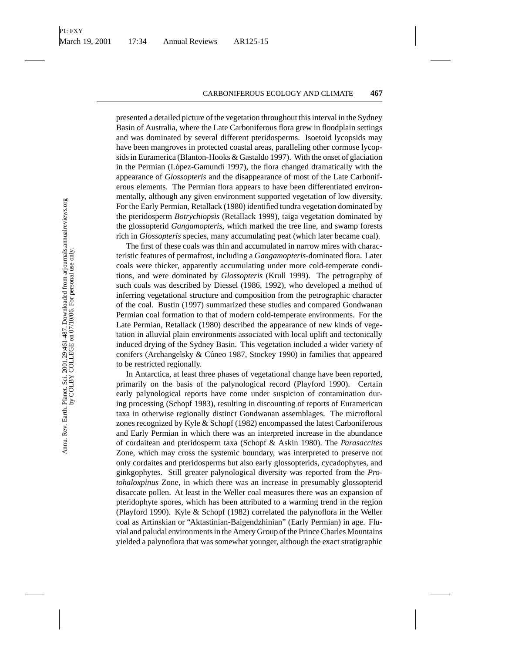presented a detailed picture of the vegetation throughout this interval in the Sydney Basin of Australia, where the Late Carboniferous flora grew in floodplain settings and was dominated by several different pteridosperms. Isoetoid lycopsids may have been mangroves in protected coastal areas, paralleling other cormose lycopsids in Euramerica (Blanton-Hooks & Gastaldo 1997). With the onset of glaciation in the Permian (López-Gamundí 1997), the flora changed dramatically with the appearance of *Glossopteris* and the disappearance of most of the Late Carboniferous elements. The Permian flora appears to have been differentiated environmentally, although any given environment supported vegetation of low diversity. For the Early Permian, Retallack (1980) identified tundra vegetation dominated by the pteridosperm *Botrychiopsis* (Retallack 1999), taiga vegetation dominated by the glossopterid *Gangamopteris*, which marked the tree line, and swamp forests rich in *Glossopteris* species, many accumulating peat (which later became coal).

The first of these coals was thin and accumulated in narrow mires with characteristic features of permafrost, including a *Gangamopteris*-dominated flora. Later coals were thicker, apparently accumulating under more cold-temperate conditions, and were dominated by *Glossopteris* (Krull 1999). The petrography of such coals was described by Diessel (1986, 1992), who developed a method of inferring vegetational structure and composition from the petrographic character of the coal. Bustin (1997) summarized these studies and compared Gondwanan Permian coal formation to that of modern cold-temperate environments. For the Late Permian, Retallack (1980) described the appearance of new kinds of vegetation in alluvial plain environments associated with local uplift and tectonically induced drying of the Sydney Basin. This vegetation included a wider variety of conifers (Archangelsky & Cúneo 1987, Stockey 1990) in families that appeared to be restricted regionally.

In Antarctica, at least three phases of vegetational change have been reported, primarily on the basis of the palynological record (Playford 1990). Certain early palynological reports have come under suspicion of contamination during processing (Schopf 1983), resulting in discounting of reports of Euramerican taxa in otherwise regionally distinct Gondwanan assemblages. The microfloral zones recognized by Kyle & Schopf (1982) encompassed the latest Carboniferous and Early Permian in which there was an interpreted increase in the abundance of cordaitean and pteridosperm taxa (Schopf & Askin 1980). The *Parasaccites* Zone, which may cross the systemic boundary, was interpreted to preserve not only cordaites and pteridosperms but also early glossopterids, cycadophytes, and ginkgophytes. Still greater palynological diversity was reported from the *Protohaloxpinus* Zone, in which there was an increase in presumably glossopterid disaccate pollen. At least in the Weller coal measures there was an expansion of pteridophyte spores, which has been attributed to a warming trend in the region (Playford 1990). Kyle & Schopf (1982) correlated the palynoflora in the Weller coal as Artinskian or "Aktastinian-Baigendzhinian" (Early Permian) in age. Fluvial and paludal environments in the Amery Group of the Prince Charles Mountains yielded a palynoflora that was somewhat younger, although the exact stratigraphic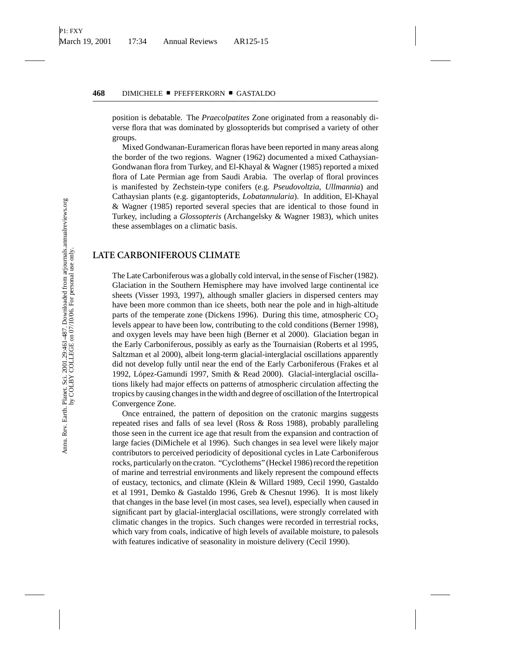position is debatable. The *Praecolpatites* Zone originated from a reasonably diverse flora that was dominated by glossopterids but comprised a variety of other groups.

Mixed Gondwanan-Euramerican floras have been reported in many areas along the border of the two regions. Wagner (1962) documented a mixed Cathaysian-Gondwanan flora from Turkey, and El-Khayal & Wagner (1985) reported a mixed flora of Late Permian age from Saudi Arabia. The overlap of floral provinces is manifested by Zechstein-type conifers (e.g. *Pseudovoltzia*, *Ullmannia*) and Cathaysian plants (e.g. gigantopterids, *Lobatannularia*). In addition, El-Khayal & Wagner (1985) reported several species that are identical to those found in Turkey, including a *Glossopteris* (Archangelsky & Wagner 1983), which unites these assemblages on a climatic basis.

#### **LATE CARBONIFEROUS CLIMATE**

The Late Carboniferous was a globally cold interval, in the sense of Fischer (1982). Glaciation in the Southern Hemisphere may have involved large continental ice sheets (Visser 1993, 1997), although smaller glaciers in dispersed centers may have been more common than ice sheets, both near the pole and in high-altitude parts of the temperate zone (Dickens 1996). During this time, atmospheric  $CO<sub>2</sub>$ levels appear to have been low, contributing to the cold conditions (Berner 1998), and oxygen levels may have been high (Berner et al 2000). Glaciation began in the Early Carboniferous, possibly as early as the Tournaisian (Roberts et al 1995, Saltzman et al 2000), albeit long-term glacial-interglacial oscillations apparently did not develop fully until near the end of the Early Carboniferous (Frakes et al 1992, López-Gamundí 1997, Smith & Read 2000). Glacial-interglacial oscillations likely had major effects on patterns of atmospheric circulation affecting the tropics by causing changes in the width and degree of oscillation of the Intertropical Convergence Zone.

Once entrained, the pattern of deposition on the cratonic margins suggests repeated rises and falls of sea level (Ross & Ross 1988), probably paralleling those seen in the current ice age that result from the expansion and contraction of large facies (DiMichele et al 1996). Such changes in sea level were likely major contributors to perceived periodicity of depositional cycles in Late Carboniferous rocks, particularly on the craton. "Cyclothems" (Heckel 1986) record the repetition of marine and terrestrial environments and likely represent the compound effects of eustacy, tectonics, and climate (Klein & Willard 1989, Cecil 1990, Gastaldo et al 1991, Demko & Gastaldo 1996, Greb & Chesnut 1996). It is most likely that changes in the base level (in most cases, sea level), especially when caused in significant part by glacial-interglacial oscillations, were strongly correlated with climatic changes in the tropics. Such changes were recorded in terrestrial rocks, which vary from coals, indicative of high levels of available moisture, to palesols with features indicative of seasonality in moisture delivery (Cecil 1990).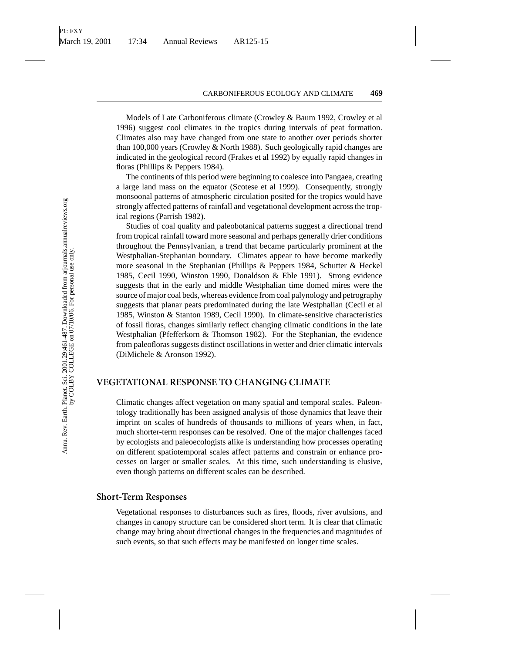Models of Late Carboniferous climate (Crowley & Baum 1992, Crowley et al 1996) suggest cool climates in the tropics during intervals of peat formation. Climates also may have changed from one state to another over periods shorter than 100,000 years (Crowley & North 1988). Such geologically rapid changes are indicated in the geological record (Frakes et al 1992) by equally rapid changes in floras (Phillips & Peppers 1984).

The continents of this period were beginning to coalesce into Pangaea, creating a large land mass on the equator (Scotese et al 1999). Consequently, strongly monsoonal patterns of atmospheric circulation posited for the tropics would have strongly affected patterns of rainfall and vegetational development across the tropical regions (Parrish 1982).

Studies of coal quality and paleobotanical patterns suggest a directional trend from tropical rainfall toward more seasonal and perhaps generally drier conditions throughout the Pennsylvanian, a trend that became particularly prominent at the Westphalian-Stephanian boundary. Climates appear to have become markedly more seasonal in the Stephanian (Phillips & Peppers 1984, Schutter & Heckel 1985, Cecil 1990, Winston 1990, Donaldson & Eble 1991). Strong evidence suggests that in the early and middle Westphalian time domed mires were the source of major coal beds, whereas evidence from coal palynology and petrography suggests that planar peats predominated during the late Westphalian (Cecil et al 1985, Winston & Stanton 1989, Cecil 1990). In climate-sensitive characteristics of fossil floras, changes similarly reflect changing climatic conditions in the late Westphalian (Pfefferkorn & Thomson 1982). For the Stephanian, the evidence from paleofloras suggests distinct oscillations in wetter and drier climatic intervals (DiMichele & Aronson 1992).

# **VEGETATIONAL RESPONSE TO CHANGING CLIMATE**

Climatic changes affect vegetation on many spatial and temporal scales. Paleontology traditionally has been assigned analysis of those dynamics that leave their imprint on scales of hundreds of thousands to millions of years when, in fact, much shorter-term responses can be resolved. One of the major challenges faced by ecologists and paleoecologists alike is understanding how processes operating on different spatiotemporal scales affect patterns and constrain or enhance processes on larger or smaller scales. At this time, such understanding is elusive, even though patterns on different scales can be described.

#### **Short-Term Responses**

Vegetational responses to disturbances such as fires, floods, river avulsions, and changes in canopy structure can be considered short term. It is clear that climatic change may bring about directional changes in the frequencies and magnitudes of such events, so that such effects may be manifested on longer time scales.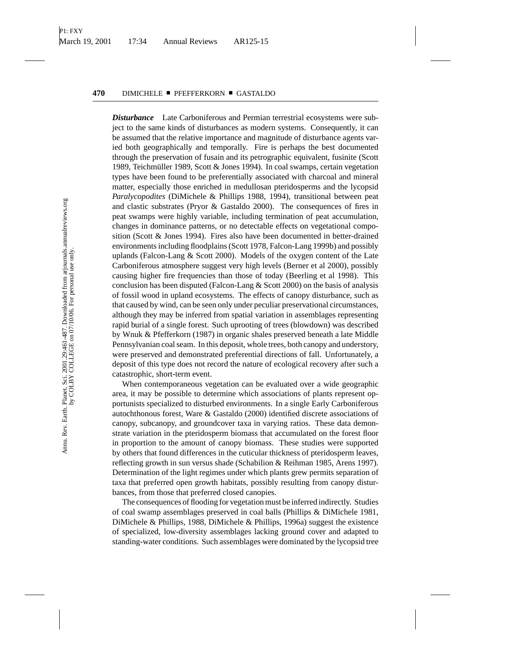*Disturbance* Late Carboniferous and Permian terrestrial ecosystems were subject to the same kinds of disturbances as modern systems. Consequently, it can be assumed that the relative importance and magnitude of disturbance agents varied both geographically and temporally. Fire is perhaps the best documented through the preservation of fusain and its petrographic equivalent, fusinite (Scott 1989, Teichmüller 1989, Scott & Jones 1994). In coal swamps, certain vegetation types have been found to be preferentially associated with charcoal and mineral matter, especially those enriched in medullosan pteridosperms and the lycopsid *Paralycopodites* (DiMichele & Phillips 1988, 1994), transitional between peat and clastic substrates (Pryor & Gastaldo 2000). The consequences of fires in peat swamps were highly variable, including termination of peat accumulation, changes in dominance patterns, or no detectable effects on vegetational composition (Scott & Jones 1994). Fires also have been documented in better-drained environments including floodplains (Scott 1978, Falcon-Lang 1999b) and possibly uplands (Falcon-Lang & Scott 2000). Models of the oxygen content of the Late Carboniferous atmosphere suggest very high levels (Berner et al 2000), possibly causing higher fire frequencies than those of today (Beerling et al 1998). This conclusion has been disputed (Falcon-Lang & Scott 2000) on the basis of analysis of fossil wood in upland ecosystems. The effects of canopy disturbance, such as that caused by wind, can be seen only under peculiar preservational circumstances, although they may be inferred from spatial variation in assemblages representing rapid burial of a single forest. Such uprooting of trees (blowdown) was described by Wnuk & Pfefferkorn (1987) in organic shales preserved beneath a late Middle Pennsylvanian coal seam. In this deposit, whole trees, both canopy and understory, were preserved and demonstrated preferential directions of fall. Unfortunately, a deposit of this type does not record the nature of ecological recovery after such a catastrophic, short-term event.

When contemporaneous vegetation can be evaluated over a wide geographic area, it may be possible to determine which associations of plants represent opportunists specialized to disturbed environments. In a single Early Carboniferous autochthonous forest, Ware & Gastaldo (2000) identified discrete associations of canopy, subcanopy, and groundcover taxa in varying ratios. These data demonstrate variation in the pteridosperm biomass that accumulated on the forest floor in proportion to the amount of canopy biomass. These studies were supported by others that found differences in the cuticular thickness of pteridosperm leaves, reflecting growth in sun versus shade (Schabilion & Reihman 1985, Arens 1997). Determination of the light regimes under which plants grew permits separation of taxa that preferred open growth habitats, possibly resulting from canopy disturbances, from those that preferred closed canopies.

The consequences of flooding for vegetation must be inferred indirectly. Studies of coal swamp assemblages preserved in coal balls (Phillips & DiMichele 1981, DiMichele & Phillips, 1988, DiMichele & Phillips, 1996a) suggest the existence of specialized, low-diversity assemblages lacking ground cover and adapted to standing-water conditions. Such assemblages were dominated by the lycopsid tree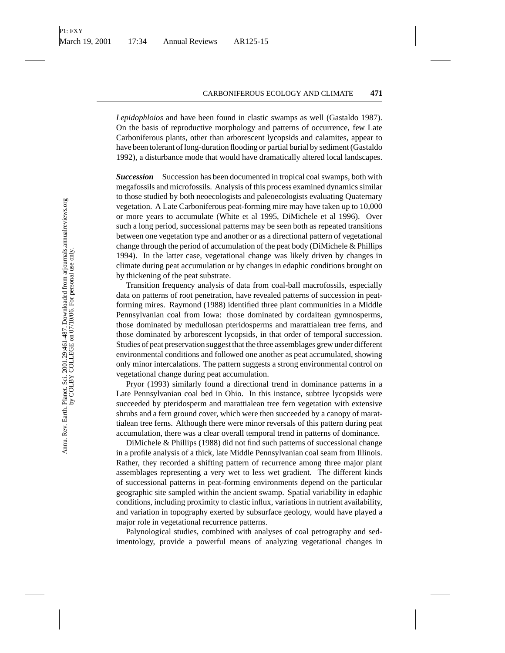*Lepidophloios* and have been found in clastic swamps as well (Gastaldo 1987). On the basis of reproductive morphology and patterns of occurrence, few Late Carboniferous plants, other than arborescent lycopsids and calamites, appear to have been tolerant of long-duration flooding or partial burial by sediment (Gastaldo 1992), a disturbance mode that would have dramatically altered local landscapes.

*Succession* Succession has been documented in tropical coal swamps, both with megafossils and microfossils. Analysis of this process examined dynamics similar to those studied by both neoecologists and paleoecologists evaluating Quaternary vegetation. A Late Carboniferous peat-forming mire may have taken up to 10,000 or more years to accumulate (White et al 1995, DiMichele et al 1996). Over such a long period, successional patterns may be seen both as repeated transitions between one vegetation type and another or as a directional pattern of vegetational change through the period of accumulation of the peat body (DiMichele  $&$  Phillips 1994). In the latter case, vegetational change was likely driven by changes in climate during peat accumulation or by changes in edaphic conditions brought on by thickening of the peat substrate.

Transition frequency analysis of data from coal-ball macrofossils, especially data on patterns of root penetration, have revealed patterns of succession in peatforming mires. Raymond (1988) identified three plant communities in a Middle Pennsylvanian coal from Iowa: those dominated by cordaitean gymnosperms, those dominated by medullosan pteridosperms and marattialean tree ferns, and those dominated by arborescent lycopsids, in that order of temporal succession. Studies of peat preservation suggest that the three assemblages grew under different environmental conditions and followed one another as peat accumulated, showing only minor intercalations. The pattern suggests a strong environmental control on vegetational change during peat accumulation.

Pryor (1993) similarly found a directional trend in dominance patterns in a Late Pennsylvanian coal bed in Ohio. In this instance, subtree lycopsids were succeeded by pteridosperm and marattialean tree fern vegetation with extensive shrubs and a fern ground cover, which were then succeeded by a canopy of marattialean tree ferns. Although there were minor reversals of this pattern during peat accumulation, there was a clear overall temporal trend in patterns of dominance.

DiMichele & Phillips (1988) did not find such patterns of successional change in a profile analysis of a thick, late Middle Pennsylvanian coal seam from Illinois. Rather, they recorded a shifting pattern of recurrence among three major plant assemblages representing a very wet to less wet gradient. The different kinds of successional patterns in peat-forming environments depend on the particular geographic site sampled within the ancient swamp. Spatial variability in edaphic conditions, including proximity to clastic influx, variations in nutrient availability, and variation in topography exerted by subsurface geology, would have played a major role in vegetational recurrence patterns.

Palynological studies, combined with analyses of coal petrography and sedimentology, provide a powerful means of analyzing vegetational changes in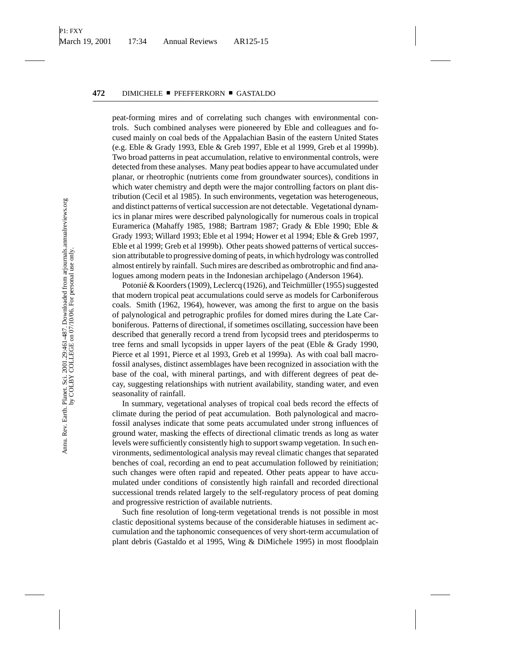peat-forming mires and of correlating such changes with environmental controls. Such combined analyses were pioneered by Eble and colleagues and focused mainly on coal beds of the Appalachian Basin of the eastern United States (e.g. Eble & Grady 1993, Eble & Greb 1997, Eble et al 1999, Greb et al 1999b). Two broad patterns in peat accumulation, relative to environmental controls, were detected from these analyses. Many peat bodies appear to have accumulated under planar, or rheotrophic (nutrients come from groundwater sources), conditions in which water chemistry and depth were the major controlling factors on plant distribution (Cecil et al 1985). In such environments, vegetation was heterogeneous, and distinct patterns of vertical succession are not detectable. Vegetational dynamics in planar mires were described palynologically for numerous coals in tropical Euramerica (Mahaffy 1985, 1988; Bartram 1987; Grady & Eble 1990; Eble & Grady 1993; Willard 1993; Eble et al 1994; Hower et al 1994; Eble & Greb 1997, Eble et al 1999; Greb et al 1999b). Other peats showed patterns of vertical succession attributable to progressive doming of peats, in which hydrology was controlled almost entirely by rainfall. Such mires are described as ombrotrophic and find analogues among modern peats in the Indonesian archipelago (Anderson 1964).

Potonié & Koorders (1909), Leclercq (1926), and Teichmüller (1955) suggested that modern tropical peat accumulations could serve as models for Carboniferous coals. Smith (1962, 1964), however, was among the first to argue on the basis of palynological and petrographic profiles for domed mires during the Late Carboniferous. Patterns of directional, if sometimes oscillating, succession have been described that generally record a trend from lycopsid trees and pteridosperms to tree ferns and small lycopsids in upper layers of the peat (Eble & Grady 1990, Pierce et al 1991, Pierce et al 1993, Greb et al 1999a). As with coal ball macrofossil analyses, distinct assemblages have been recognized in association with the base of the coal, with mineral partings, and with different degrees of peat decay, suggesting relationships with nutrient availability, standing water, and even seasonality of rainfall.

In summary, vegetational analyses of tropical coal beds record the effects of climate during the period of peat accumulation. Both palynological and macrofossil analyses indicate that some peats accumulated under strong influences of ground water, masking the effects of directional climatic trends as long as water levels were sufficiently consistently high to support swamp vegetation. In such environments, sedimentological analysis may reveal climatic changes that separated benches of coal, recording an end to peat accumulation followed by reinitiation; such changes were often rapid and repeated. Other peats appear to have accumulated under conditions of consistently high rainfall and recorded directional successional trends related largely to the self-regulatory process of peat doming and progressive restriction of available nutrients.

Such fine resolution of long-term vegetational trends is not possible in most clastic depositional systems because of the considerable hiatuses in sediment accumulation and the taphonomic consequences of very short-term accumulation of plant debris (Gastaldo et al 1995, Wing & DiMichele 1995) in most floodplain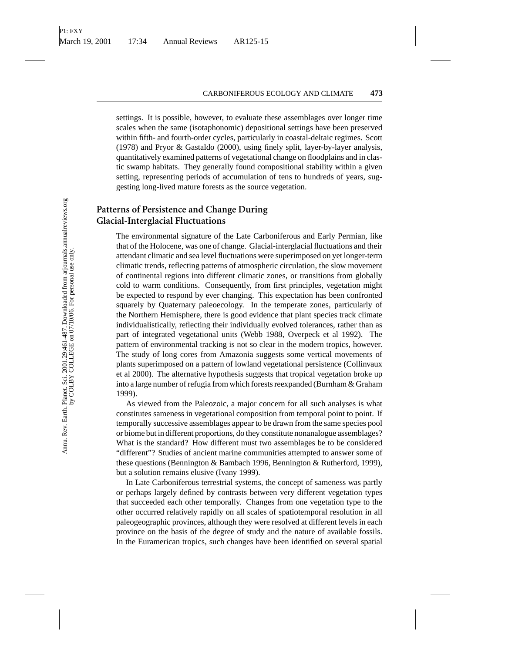settings. It is possible, however, to evaluate these assemblages over longer time scales when the same (isotaphonomic) depositional settings have been preserved within fifth- and fourth-order cycles, particularly in coastal-deltaic regimes. Scott (1978) and Pryor & Gastaldo (2000), using finely split, layer-by-layer analysis, quantitatively examined patterns of vegetational change on floodplains and in clastic swamp habitats. They generally found compositional stability within a given setting, representing periods of accumulation of tens to hundreds of years, suggesting long-lived mature forests as the source vegetation.

# **Patterns of Persistence and Change During Glacial-Interglacial Fluctuations**

The environmental signature of the Late Carboniferous and Early Permian, like that of the Holocene, was one of change. Glacial-interglacial fluctuations and their attendant climatic and sea level fluctuations were superimposed on yet longer-term climatic trends, reflecting patterns of atmospheric circulation, the slow movement of continental regions into different climatic zones, or transitions from globally cold to warm conditions. Consequently, from first principles, vegetation might be expected to respond by ever changing. This expectation has been confronted squarely by Quaternary paleoecology. In the temperate zones, particularly of the Northern Hemisphere, there is good evidence that plant species track climate individualistically, reflecting their individually evolved tolerances, rather than as part of integrated vegetational units (Webb 1988, Overpeck et al 1992). pattern of environmental tracking is not so clear in the modern tropics, however. The study of long cores from Amazonia suggests some vertical movements of plants superimposed on a pattern of lowland vegetational persistence (Collinvaux et al 2000). The alternative hypothesis suggests that tropical vegetation broke up into a large number of refugia from which forests reexpanded (Burnham & Graham 1999).

As viewed from the Paleozoic, a major concern for all such analyses is what constitutes sameness in vegetational composition from temporal point to point. If temporally successive assemblages appear to be drawn from the same species pool or biome but in different proportions, do they constitute nonanalogue assemblages? What is the standard? How different must two assemblages be to be considered "different"? Studies of ancient marine communities attempted to answer some of these questions (Bennington & Bambach 1996, Bennington & Rutherford, 1999), but a solution remains elusive (Ivany 1999).

In Late Carboniferous terrestrial systems, the concept of sameness was partly or perhaps largely defined by contrasts between very different vegetation types that succeeded each other temporally. Changes from one vegetation type to the other occurred relatively rapidly on all scales of spatiotemporal resolution in all paleogeographic provinces, although they were resolved at different levels in each province on the basis of the degree of study and the nature of available fossils. In the Euramerican tropics, such changes have been identified on several spatial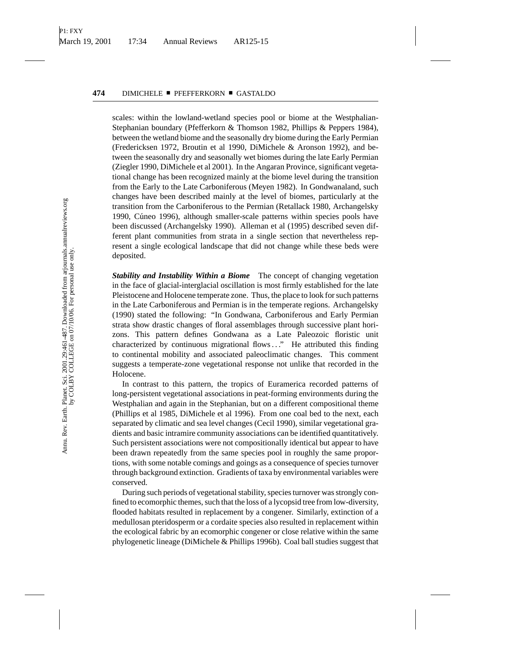scales: within the lowland-wetland species pool or biome at the Westphalian-Stephanian boundary (Pfefferkorn & Thomson 1982, Phillips & Peppers 1984), between the wetland biome and the seasonally dry biome during the Early Permian (Fredericksen 1972, Broutin et al 1990, DiMichele & Aronson 1992), and between the seasonally dry and seasonally wet biomes during the late Early Permian (Ziegler 1990, DiMichele et al 2001). In the Angaran Province, significant vegetational change has been recognized mainly at the biome level during the transition from the Early to the Late Carboniferous (Meyen 1982). In Gondwanaland, such changes have been described mainly at the level of biomes, particularly at the transition from the Carboniferous to the Permian (Retallack 1980, Archangelsky 1990, Cúneo 1996), although smaller-scale patterns within species pools have been discussed (Archangelsky 1990). Alleman et al (1995) described seven different plant communities from strata in a single section that nevertheless represent a single ecological landscape that did not change while these beds were deposited.

*Stability and Instability Within a Biome* The concept of changing vegetation in the face of glacial-interglacial oscillation is most firmly established for the late Pleistocene and Holocene temperate zone. Thus, the place to look for such patterns in the Late Carboniferous and Permian is in the temperate regions. Archangelsky (1990) stated the following: "In Gondwana, Carboniferous and Early Permian strata show drastic changes of floral assemblages through successive plant horizons. This pattern defines Gondwana as a Late Paleozoic floristic unit characterized by continuous migrational flows ..." He attributed this finding to continental mobility and associated paleoclimatic changes. This comment suggests a temperate-zone vegetational response not unlike that recorded in the Holocene.

In contrast to this pattern, the tropics of Euramerica recorded patterns of long-persistent vegetational associations in peat-forming environments during the Westphalian and again in the Stephanian, but on a different compositional theme (Phillips et al 1985, DiMichele et al 1996). From one coal bed to the next, each separated by climatic and sea level changes (Cecil 1990), similar vegetational gradients and basic intramire community associations can be identified quantitatively. Such persistent associations were not compositionally identical but appear to have been drawn repeatedly from the same species pool in roughly the same proportions, with some notable comings and goings as a consequence of species turnover through background extinction. Gradients of taxa by environmental variables were conserved.

During such periods of vegetational stability, species turnover was strongly confined to ecomorphic themes, such that the loss of a lycopsid tree from low-diversity, flooded habitats resulted in replacement by a congener. Similarly, extinction of a medullosan pteridosperm or a cordaite species also resulted in replacement within the ecological fabric by an ecomorphic congener or close relative within the same phylogenetic lineage (DiMichele & Phillips 1996b). Coal ball studies suggest that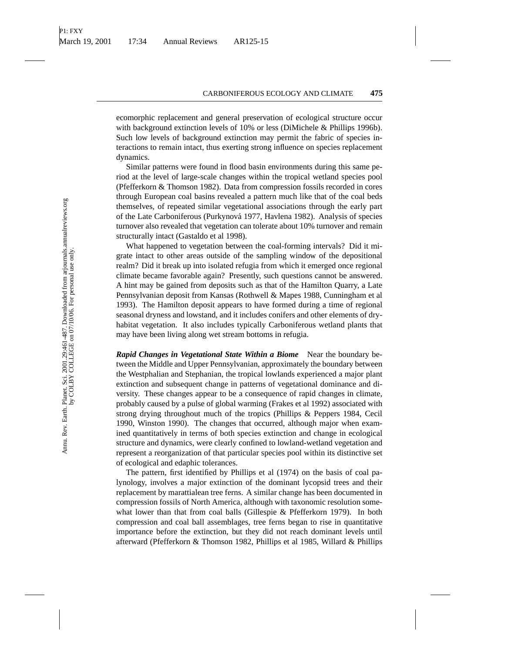ecomorphic replacement and general preservation of ecological structure occur with background extinction levels of 10% or less (DiMichele & Phillips 1996b). Such low levels of background extinction may permit the fabric of species interactions to remain intact, thus exerting strong influence on species replacement dynamics.

Similar patterns were found in flood basin environments during this same period at the level of large-scale changes within the tropical wetland species pool (Pfefferkorn & Thomson 1982). Data from compression fossils recorded in cores through European coal basins revealed a pattern much like that of the coal beds themselves, of repeated similar vegetational associations through the early part of the Late Carboniferous (Purkynov´a 1977, Havlena 1982). Analysis of species turnover also revealed that vegetation can tolerate about 10% turnover and remain structurally intact (Gastaldo et al 1998).

What happened to vegetation between the coal-forming intervals? Did it migrate intact to other areas outside of the sampling window of the depositional realm? Did it break up into isolated refugia from which it emerged once regional climate became favorable again? Presently, such questions cannot be answered. A hint may be gained from deposits such as that of the Hamilton Quarry, a Late Pennsylvanian deposit from Kansas (Rothwell & Mapes 1988, Cunningham et al 1993). The Hamilton deposit appears to have formed during a time of regional seasonal dryness and lowstand, and it includes conifers and other elements of dryhabitat vegetation. It also includes typically Carboniferous wetland plants that may have been living along wet stream bottoms in refugia.

*Rapid Changes in Vegetational State Within a Biome* Near the boundary between the Middle and Upper Pennsylvanian, approximately the boundary between the Westphalian and Stephanian, the tropical lowlands experienced a major plant extinction and subsequent change in patterns of vegetational dominance and diversity. These changes appear to be a consequence of rapid changes in climate, probably caused by a pulse of global warming (Frakes et al 1992) associated with strong drying throughout much of the tropics (Phillips & Peppers 1984, Cecil 1990, Winston 1990). The changes that occurred, although major when examined quantitatively in terms of both species extinction and change in ecological structure and dynamics, were clearly confined to lowland-wetland vegetation and represent a reorganization of that particular species pool within its distinctive set of ecological and edaphic tolerances.

The pattern, first identified by Phillips et al (1974) on the basis of coal palynology, involves a major extinction of the dominant lycopsid trees and their replacement by marattialean tree ferns. A similar change has been documented in compression fossils of North America, although with taxonomic resolution somewhat lower than that from coal balls (Gillespie & Pfefferkorn 1979). In both compression and coal ball assemblages, tree ferns began to rise in quantitative importance before the extinction, but they did not reach dominant levels until afterward (Pfefferkorn & Thomson 1982, Phillips et al 1985, Willard & Phillips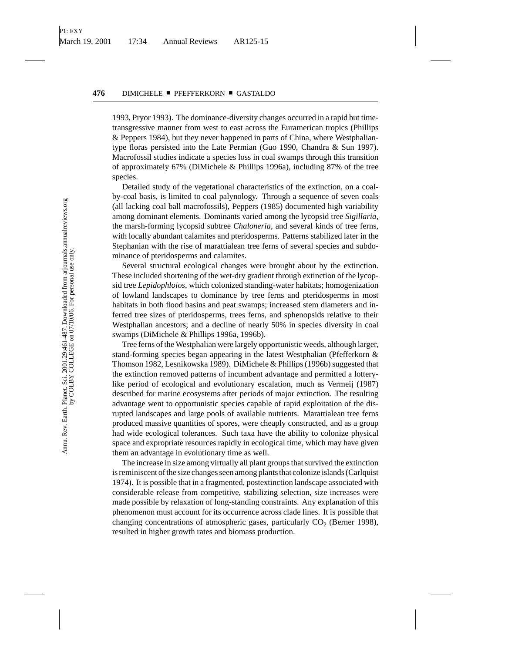1993, Pryor 1993). The dominance-diversity changes occurred in a rapid but timetransgressive manner from west to east across the Euramerican tropics (Phillips & Peppers 1984), but they never happened in parts of China, where Westphaliantype floras persisted into the Late Permian (Guo 1990, Chandra & Sun 1997). Macrofossil studies indicate a species loss in coal swamps through this transition of approximately 67% (DiMichele & Phillips 1996a), including 87% of the tree species.

Detailed study of the vegetational characteristics of the extinction, on a coalby-coal basis, is limited to coal palynology. Through a sequence of seven coals (all lacking coal ball macrofossils), Peppers (1985) documented high variability among dominant elements. Dominants varied among the lycopsid tree *Sigillaria*, the marsh-forming lycopsid subtree *Chaloneria*, and several kinds of tree ferns, with locally abundant calamites and pteridosperms. Patterns stabilized later in the Stephanian with the rise of marattialean tree ferns of several species and subdominance of pteridosperms and calamites.

Several structural ecological changes were brought about by the extinction. These included shortening of the wet-dry gradient through extinction of the lycopsid tree *Lepidophloios*, which colonized standing-water habitats; homogenization of lowland landscapes to dominance by tree ferns and pteridosperms in most habitats in both flood basins and peat swamps; increased stem diameters and inferred tree sizes of pteridosperms, trees ferns, and sphenopsids relative to their Westphalian ancestors; and a decline of nearly 50% in species diversity in coal swamps (DiMichele & Phillips 1996a, 1996b).

Tree ferns of the Westphalian were largely opportunistic weeds, although larger, stand-forming species began appearing in the latest Westphalian (Pfefferkorn & Thomson 1982, Lesnikowska 1989). DiMichele & Phillips (1996b) suggested that the extinction removed patterns of incumbent advantage and permitted a lotterylike period of ecological and evolutionary escalation, much as Vermeij (1987) described for marine ecosystems after periods of major extinction. The resulting advantage went to opportunistic species capable of rapid exploitation of the disrupted landscapes and large pools of available nutrients. Marattialean tree ferns produced massive quantities of spores, were cheaply constructed, and as a group had wide ecological tolerances. Such taxa have the ability to colonize physical space and expropriate resources rapidly in ecological time, which may have given them an advantage in evolutionary time as well.

The increase in size among virtually all plant groups that survived the extinction is reminiscent of the size changes seen among plants that colonize islands (Carlquist 1974). It is possible that in a fragmented, postextinction landscape associated with considerable release from competitive, stabilizing selection, size increases were made possible by relaxation of long-standing constraints. Any explanation of this phenomenon must account for its occurrence across clade lines. It is possible that changing concentrations of atmospheric gases, particularly  $CO<sub>2</sub>$  (Berner 1998), resulted in higher growth rates and biomass production.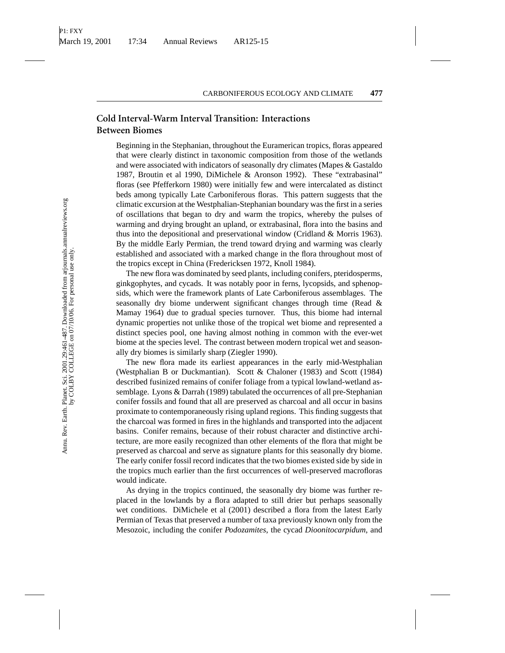# **Cold Interval-Warm Interval Transition: Interactions Between Biomes**

Beginning in the Stephanian, throughout the Euramerican tropics, floras appeared that were clearly distinct in taxonomic composition from those of the wetlands and were associated with indicators of seasonally dry climates (Mapes & Gastaldo 1987, Broutin et al 1990, DiMichele & Aronson 1992). These "extrabasinal" floras (see Pfefferkorn 1980) were initially few and were intercalated as distinct beds among typically Late Carboniferous floras. This pattern suggests that the climatic excursion at the Westphalian-Stephanian boundary was the first in a series of oscillations that began to dry and warm the tropics, whereby the pulses of warming and drying brought an upland, or extrabasinal, flora into the basins and thus into the depositional and preservational window (Cridland & Morris 1963). By the middle Early Permian, the trend toward drying and warming was clearly established and associated with a marked change in the flora throughout most of the tropics except in China (Fredericksen 1972, Knoll 1984).

The new flora was dominated by seed plants, including conifers, pteridosperms, ginkgophytes, and cycads. It was notably poor in ferns, lycopsids, and sphenopsids, which were the framework plants of Late Carboniferous assemblages. The seasonally dry biome underwent significant changes through time (Read & Mamay 1964) due to gradual species turnover. Thus, this biome had internal dynamic properties not unlike those of the tropical wet biome and represented a distinct species pool, one having almost nothing in common with the ever-wet biome at the species level. The contrast between modern tropical wet and seasonally dry biomes is similarly sharp (Ziegler 1990).

The new flora made its earliest appearances in the early mid-Westphalian (Westphalian B or Duckmantian). Scott & Chaloner (1983) and Scott (1984) described fusinized remains of conifer foliage from a typical lowland-wetland assemblage. Lyons & Darrah (1989) tabulated the occurrences of all pre-Stephanian conifer fossils and found that all are preserved as charcoal and all occur in basins proximate to contemporaneously rising upland regions. This finding suggests that the charcoal was formed in fires in the highlands and transported into the adjacent basins. Conifer remains, because of their robust character and distinctive architecture, are more easily recognized than other elements of the flora that might be preserved as charcoal and serve as signature plants for this seasonally dry biome. The early conifer fossil record indicates that the two biomes existed side by side in the tropics much earlier than the first occurrences of well-preserved macrofloras would indicate.

As drying in the tropics continued, the seasonally dry biome was further replaced in the lowlands by a flora adapted to still drier but perhaps seasonally wet conditions. DiMichele et al (2001) described a flora from the latest Early Permian of Texas that preserved a number of taxa previously known only from the Mesozoic, including the conifer *Podozamites*, the cycad *Dioonitocarpidum*, and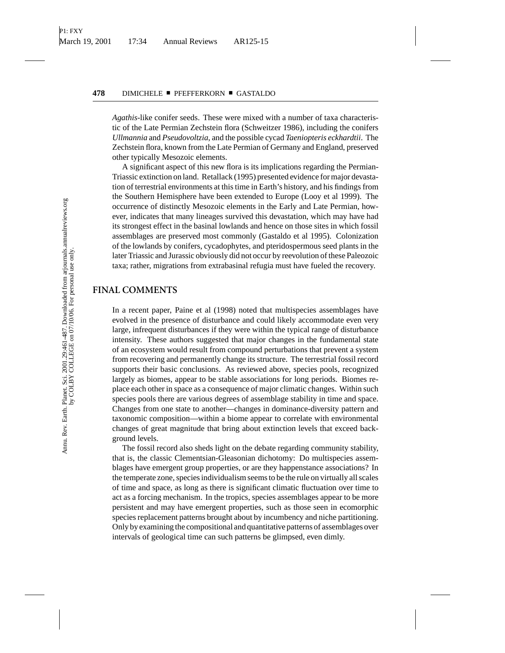*Agathis*-like conifer seeds. These were mixed with a number of taxa characteristic of the Late Permian Zechstein flora (Schweitzer 1986), including the conifers *Ullmannia* and *Pseudovoltzia*, and the possible cycad *Taeniopteris eckhardtii*. The Zechstein flora, known from the Late Permian of Germany and England, preserved other typically Mesozoic elements.

A significant aspect of this new flora is its implications regarding the Permian-Triassic extinction on land. Retallack (1995) presented evidence for major devastation of terrestrial environments at this time in Earth's history, and his findings from the Southern Hemisphere have been extended to Europe (Looy et al 1999). The occurrence of distinctly Mesozoic elements in the Early and Late Permian, however, indicates that many lineages survived this devastation, which may have had its strongest effect in the basinal lowlands and hence on those sites in which fossil assemblages are preserved most commonly (Gastaldo et al 1995). Colonization of the lowlands by conifers, cycadophytes, and pteridospermous seed plants in the later Triassic and Jurassic obviously did not occur by reevolution of these Paleozoic taxa; rather, migrations from extrabasinal refugia must have fueled the recovery.

#### **FINAL COMMENTS**

In a recent paper, Paine et al (1998) noted that multispecies assemblages have evolved in the presence of disturbance and could likely accommodate even very large, infrequent disturbances if they were within the typical range of disturbance intensity. These authors suggested that major changes in the fundamental state of an ecosystem would result from compound perturbations that prevent a system from recovering and permanently change its structure. The terrestrial fossil record supports their basic conclusions. As reviewed above, species pools, recognized largely as biomes, appear to be stable associations for long periods. Biomes replace each other in space as a consequence of major climatic changes. Within such species pools there are various degrees of assemblage stability in time and space. Changes from one state to another—changes in dominance-diversity pattern and taxonomic composition—within a biome appear to correlate with environmental changes of great magnitude that bring about extinction levels that exceed background levels.

The fossil record also sheds light on the debate regarding community stability, that is, the classic Clementsian-Gleasonian dichotomy: Do multispecies assemblages have emergent group properties, or are they happenstance associations? In the temperate zone, species individualism seems to be the rule on virtually all scales of time and space, as long as there is significant climatic fluctuation over time to act as a forcing mechanism. In the tropics, species assemblages appear to be more persistent and may have emergent properties, such as those seen in ecomorphic species replacement patterns brought about by incumbency and niche partitioning. Only by examining the compositional and quantitative patterns of assemblages over intervals of geological time can such patterns be glimpsed, even dimly.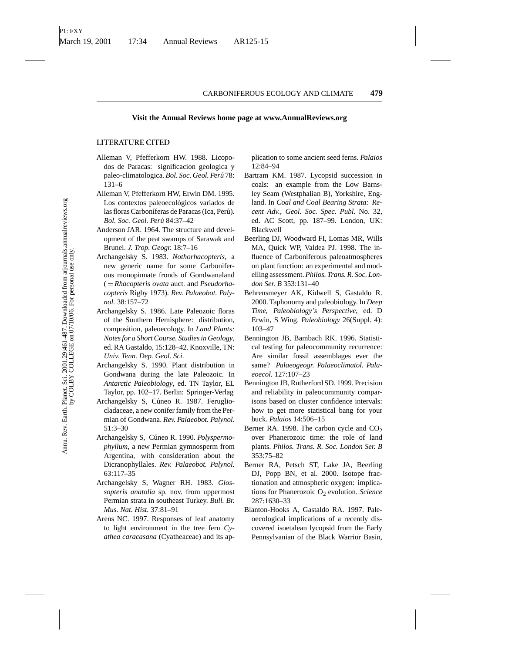#### **Visit the Annual Reviews home page at www.AnnualReviews.org**

#### **LITERATURE CITED**

- Alleman V, Pfefferkorn HW. 1988. Licopodos de Paracas: significacion geologica y paleo-climatologica. *Bol. Soc. Geol. Peru´* 78: 131–6
- Alleman V, Pfefferkorn HW, Erwin DM. 1995. Los contextos paleoecológicos variados de las floras Carboníferas de Paracas (Ica, Perú). *Bol. Soc. Geol. Peru´* 84:37–42
- Anderson JAR. 1964. The structure and development of the peat swamps of Sarawak and Brunei. *J. Trop. Geogr.* 18:7–16
- Archangelsky S. 1983. *Nothorhacopteris*, a new generic name for some Carboniferous monopinnate fronds of Gondwanaland ( = *Rhacopteris ovata* auct. and *Pseudorhacopteris* Rigby 1973). *Rev. Palaeobot. Palynol.* 38:157–72
- Archangelsky S. 1986. Late Paleozoic floras of the Southern Hemisphere: distribution, composition, paleoecology. In *Land Plants: Notes for a Short Course. Studies in Geology*, ed. RA Gastaldo, 15:128–42. Knoxville, TN: *Univ. Tenn. Dep. Geol. Sci*.
- Archangelsky S. 1990. Plant distribution in Gondwana during the late Paleozoic. In *Antarctic Paleobiology*, ed. TN Taylor, EL Taylor, pp. 102–17. Berlin: Springer-Verlag
- Archangelsky S, Cúneo R. 1987. Ferugliocladaceae, a new conifer family from the Permian of Gondwana. *Rev. Palaeobot. Palynol.* 51:3–30
- Archangelsky S, Cúneo R. 1990. Polyspermo*phyllum*, a new Permian gymnosperm from Argentina, with consideration about the Dicranophyllales. *Rev. Palaeobot. Palynol.* 63:117–35
- Archangelsky S, Wagner RH. 1983. *Glossopteris anatolia* sp. nov. from uppermost Permian strata in southeast Turkey. *Bull. Br. Mus. Nat. Hist.* 37:81–91
- Arens NC. 1997. Responses of leaf anatomy to light environment in the tree fern *Cyathea caracasana* (Cyatheaceae) and its ap-

plication to some ancient seed ferns. *Palaios* 12:84–94

- Bartram KM. 1987. Lycopsid succession in coals: an example from the Low Barnsley Seam (Westphalian B), Yorkshire, England. In *Coal and Coal Bearing Strata: Recent Adv., Geol. Soc. Spec. Publ.* No. 32, ed. AC Scott, pp. 187–99. London, UK: Blackwell
- Beerling DJ, Woodward FI, Lomas MR, Wills MA, Quick WP, Valdea PJ. 1998. The influence of Carboniferous paleoatmospheres on plant function: an experimental and modelling assessment. *Philos. Trans. R. Soc. London Ser. B* 353:131–40
- Behrensmeyer AK, Kidwell S, Gastaldo R. 2000. Taphonomy and paleobiology. In *Deep Time, Paleobiology's Perspective*, ed. D Erwin, S Wing. *Paleobiology* 26(Suppl. 4): 103–47
- Bennington JB, Bambach RK. 1996. Statistical testing for paleocommunity recurrence: Are similar fossil assemblages ever the same? *Palaeogeogr. Palaeoclimatol. Palaeoecol.* 127:107–23
- Bennington JB, Rutherford SD. 1999. Precision and reliability in paleocommunity comparisons based on cluster confidence intervals: how to get more statistical bang for your buck. *Palaios* 14:506–15
- Berner RA. 1998. The carbon cycle and  $CO<sub>2</sub>$ over Phanerozoic time: the role of land plants. *Philos. Trans. R. Soc. London Ser. B* 353:75–82
- Berner RA, Petsch ST, Lake JA, Beerling DJ, Popp BN, et al. 2000. Isotope fractionation and atmospheric oxygen: implications for Phanerozoic O<sub>2</sub> evolution. *Science* 287:1630–33
- Blanton-Hooks A, Gastaldo RA. 1997. Paleoecological implications of a recently discovered isoetalean lycopsid from the Early Pennsylvanian of the Black Warrior Basin,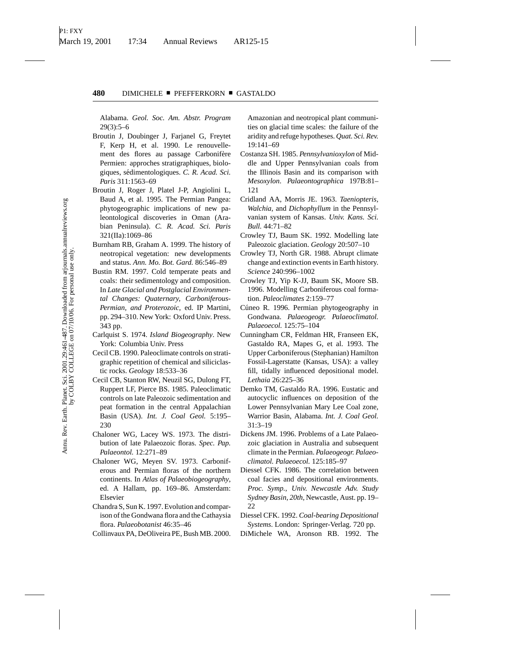Alabama. *Geol. Soc. Am. Abstr. Program* 29(3):5–6

- Broutin J, Doubinger J, Farjanel G, Freytet F, Kerp H, et al. 1990. Le renouvellement des flores au passage Carbonifère Permien: approches stratigraphiques, biologiques, sédimentologiques. C. R. Acad. Sci. *Paris* 311:1563–69
- Broutin J, Roger J, Platel J-P, Angiolini L, Baud A, et al. 1995. The Permian Pangea: phytogeographic implications of new paleontological discoveries in Oman (Arabian Peninsula). *C. R. Acad. Sci. Paris* 321(IIa):1069–86
- Burnham RB, Graham A. 1999. The history of neotropical vegetation: new developments and status. *Ann. Mo. Bot. Gard.* 86:546–89
- Bustin RM. 1997. Cold temperate peats and coals: their sedimentology and composition. In *Late Glacial and Postglacial Environmental Changes: Quaternary, Carboniferous-Permian, and Proterozoic*, ed. IP Martini, pp. 294–310. New York: Oxford Univ. Press. 343 pp.
- Carlquist S. 1974. *Island Biogeography*. New York: Columbia Univ. Press
- Cecil CB. 1990. Paleoclimate controls on stratigraphic repetition of chemical and siliciclastic rocks. *Geology* 18:533–36
- Cecil CB, Stanton RW, Neuzil SG, Dulong FT, Ruppert LF, Pierce BS. 1985. Paleoclimatic controls on late Paleozoic sedimentation and peat formation in the central Appalachian Basin (USA). *Int. J. Coal Geol.* 5:195– 230
- Chaloner WG, Lacey WS. 1973. The distribution of late Palaeozoic floras. *Spec. Pap. Palaeontol.* 12:271–89
- Chaloner WG, Meyen SV. 1973. Carboniferous and Permian floras of the northern continents. In *Atlas of Palaeobiogeography*, ed. A Hallam, pp. 169–86. Amsterdam: Elsevier
- Chandra S, Sun K. 1997. Evolution and comparison of the Gondwana flora and the Cathaysia flora. *Palaeobotanist* 46:35–46
- Collinvaux PA, DeOliveira PE, Bush MB. 2000.

Amazonian and neotropical plant communities on glacial time scales: the failure of the aridity and refuge hypotheses. *Quat. Sci. Rev.* 19:141–69

- Costanza SH. 1985. *Pennsylvanioxylon* of Middle and Upper Pennsylvanian coals from the Illinois Basin and its comparison with *Mesoxylon*. *Palaeontographica* 197B:81– 121
- Cridland AA, Morris JE. 1963. *Taeniopteris, Walchia*, and *Dichophyllum* in the Pennsylvanian system of Kansas. *Univ. Kans. Sci. Bull.* 44:71–82
- Crowley TJ, Baum SK. 1992. Modelling late Paleozoic glaciation. *Geology* 20:507–10
- Crowley TJ, North GR. 1988. Abrupt climate change and extinction events in Earth history. *Science* 240:996–1002
- Crowley TJ, Yip K-JJ, Baum SK, Moore SB. 1996. Modelling Carboniferous coal formation. *Paleoclimates* 2:159–77
- Cúneo R. 1996. Permian phytogeography in Gondwana. *Palaeogeogr. Palaeoclimatol. Palaeoecol.* 125:75–104
- Cunningham CR, Feldman HR, Franseen EK, Gastaldo RA, Mapes G, et al. 1993. The Upper Carboniferous (Stephanian) Hamilton Fossil-Lagerstatte (Kansas, USA): a valley fill, tidally influenced depositional model. *Lethaia* 26:225–36
- Demko TM, Gastaldo RA. 1996. Eustatic and autocyclic influences on deposition of the Lower Pennsylvanian Mary Lee Coal zone, Warrior Basin, Alabama. *Int. J. Coal Geol.* 31:3–19
- Dickens JM. 1996. Problems of a Late Palaeozoic glaciation in Australia and subsequent climate in the Permian. *Palaeogeogr. Palaeoclimatol. Palaeoecol.* 125:185–97
- Diessel CFK. 1986. The correlation between coal facies and depositional environments. *Proc. Symp., Univ. Newcastle Adv. Study Sydney Basin, 20th*, Newcastle, Aust. pp. 19– 22
- Diessel CFK. 1992. *Coal-bearing Depositional Systems*. London: Springer-Verlag. 720 pp.
- DiMichele WA, Aronson RB. 1992. The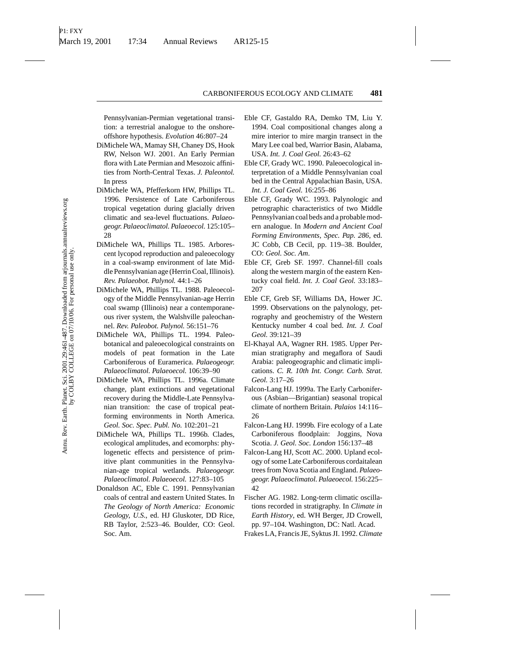Pennsylvanian-Permian vegetational transition: a terrestrial analogue to the onshoreoffshore hypothesis. *Evolution* 46:807–24

- DiMichele WA, Mamay SH, Chaney DS, Hook RW, Nelson WJ. 2001. An Early Permian flora with Late Permian and Mesozoic affinities from North-Central Texas. *J. Paleontol.* In press
- DiMichele WA, Pfefferkorn HW, Phillips TL. 1996. Persistence of Late Carboniferous tropical vegetation during glacially driven climatic and sea-level fluctuations. *Palaeogeogr. Palaeoclimatol. Palaeoecol.* 125:105– 28
- DiMichele WA, Phillips TL. 1985. Arborescent lycopod reproduction and paleoecology in a coal-swamp environment of late Middle Pennsylvanian age (Herrin Coal, Illinois). *Rev. Palaeobot. Palynol.* 44:1–26
- DiMichele WA, Phillips TL. 1988. Paleoecology of the Middle Pennsylvanian-age Herrin coal swamp (Illinois) near a contemporaneous river system, the Walshville paleochannel. *Rev. Paleobot. Palynol.* 56:151–76
- DiMichele WA, Phillips TL. 1994. Paleobotanical and paleoecological constraints on models of peat formation in the Late Carboniferous of Euramerica. *Palaeogeogr. Palaeoclimatol. Palaeoecol.* 106:39–90
- DiMichele WA, Phillips TL. 1996a. Climate change, plant extinctions and vegetational recovery during the Middle-Late Pennsylvanian transition: the case of tropical peatforming environments in North America. *Geol. Soc. Spec. Publ. No.* 102:201–21
- DiMichele WA, Phillips TL. 1996b. Clades, ecological amplitudes, and ecomorphs: phylogenetic effects and persistence of primitive plant communities in the Pennsylvanian-age tropical wetlands. *Palaeogeogr. Palaeoclimatol. Palaeoecol.* 127:83–105
- Donaldson AC, Eble C. 1991. Pennsylvanian coals of central and eastern United States. In *The Geology of North America: Economic Geology, U.S*., ed. HJ Gluskoter, DD Rice, RB Taylor, 2:523–46. Boulder, CO: Geol. Soc. Am.
- Eble CF, Gastaldo RA, Demko TM, Liu Y. 1994. Coal compositional changes along a mire interior to mire margin transect in the Mary Lee coal bed, Warrior Basin, Alabama, USA. *Int. J. Coal Geol.* 26:43–62
- Eble CF, Grady WC. 1990. Paleoecological interpretation of a Middle Pennsylvanian coal bed in the Central Appalachian Basin, USA. *Int. J. Coal Geol.* 16:255–86
- Eble CF, Grady WC. 1993. Palynologic and petrographic characteristics of two Middle Pennsylvanian coal beds and a probable modern analogue. In *Modern and Ancient Coal Forming Environments, Spec. Pap. 286*, ed. JC Cobb, CB Cecil, pp. 119–38. Boulder, CO: *Geol. Soc. Am*.
- Eble CF, Greb SF. 1997. Channel-fill coals along the western margin of the eastern Kentucky coal field. *Int. J. Coal Geol.* 33:183– 207
- Eble CF, Greb SF, Williams DA, Hower JC. 1999. Observations on the palynology, petrography and geochemistry of the Western Kentucky number 4 coal bed. *Int. J. Coal Geol.* 39:121–39
- El-Khayal AA, Wagner RH. 1985. Upper Permian stratigraphy and megaflora of Saudi Arabia: paleogeographic and climatic implications. *C. R. 10th Int. Congr. Carb. Strat. Geol.* 3:17–26
- Falcon-Lang HJ. 1999a. The Early Carboniferous (Asbian—Brigantian) seasonal tropical climate of northern Britain. *Palaios* 14:116– 26
- Falcon-Lang HJ. 1999b. Fire ecology of a Late Carboniferous floodplain: Joggins, Nova Scotia. *J. Geol. Soc. London* 156:137–48
- Falcon-Lang HJ, Scott AC. 2000. Upland ecology of some Late Carboniferous cordaitalean trees from Nova Scotia and England. *Palaeogeogr. Palaeoclimatol. Palaeoecol.* 156:225– 42
- Fischer AG. 1982. Long-term climatic oscillations recorded in stratigraphy. In *Climate in Earth History*, ed. WH Berger, JD Crowell, pp. 97–104. Washington, DC: Natl. Acad.
- Frakes LA, Francis JE, Syktus JI. 1992.*Climate*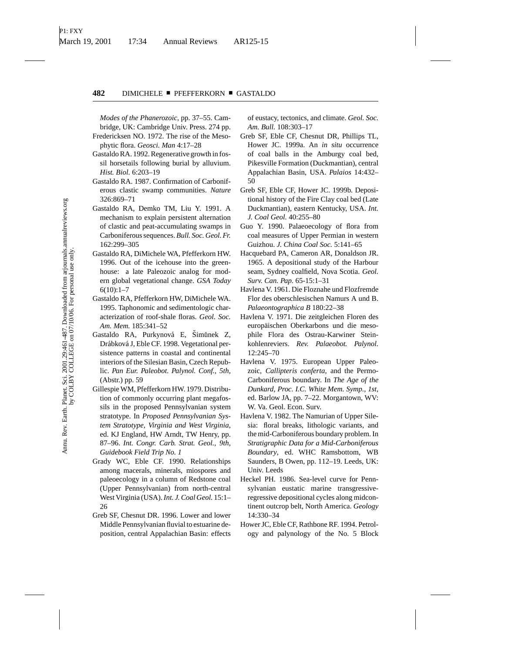*Modes of the Phanerozoic*, pp. 37–55. Cambridge, UK: Cambridge Univ. Press. 274 pp.

- Fredericksen NO. 1972. The rise of the Mesophytic flora. *Geosci. Man* 4:17–28
- Gastaldo RA. 1992. Regenerative growth in fossil horsetails following burial by alluvium. *Hist. Biol.* 6:203–19
- Gastaldo RA. 1987. Confirmation of Carboniferous clastic swamp communities. *Nature* 326:869–71
- Gastaldo RA, Demko TM, Liu Y. 1991. A mechanism to explain persistent alternation of clastic and peat-accumulating swamps in Carboniferous sequences. *Bull. Soc. Geol. Fr.* 162:299–305
- Gastaldo RA, DiMichele WA, Pfefferkorn HW. 1996. Out of the icehouse into the greenhouse: a late Paleozoic analog for modern global vegetational change. *GSA Today*  $6(10):1-7$
- Gastaldo RA, Pfefferkorn HW, DiMichele WA. 1995. Taphonomic and sedimentologic characterization of roof-shale floras. *Geol. Soc. Am. Mem.* 185:341–52
- Gastaldo RA, Purkynová E, Šimůnek Z, Drábková J, Eble CF. 1998. Vegetational persistence patterns in coastal and continental interiors of the Silesian Basin, Czech Republic. *Pan Eur. Paleobot. Palynol. Conf., 5th*, (Abstr.) pp. 59
- Gillespie WM, Pfefferkorn HW. 1979. Distribution of commonly occurring plant megafossils in the proposed Pennsylvanian system stratotype. In *Proposed Pennsylvanian System Stratotype, Virginia and West Virginia*, ed. KJ England, HW Arndt, TW Henry, pp. 87–96. *Int. Congr. Carb. Strat. Geol., 9th, Guidebook Field Trip No. 1*
- Grady WC, Eble CF. 1990. Relationships among macerals, minerals, miospores and paleoecology in a column of Redstone coal (Upper Pennsylvanian) from north-central West Virginia (USA).*Int. J. Coal Geol.* 15:1– 26
- Greb SF, Chesnut DR. 1996. Lower and lower Middle Pennsylvanian fluvial to estuarine deposition, central Appalachian Basin: effects

of eustacy, tectonics, and climate. *Geol. Soc. Am. Bull.* 108:303–17

- Greb SF, Eble CF, Chesnut DR, Phillips TL, Hower JC. 1999a. An *in situ* occurrence of coal balls in the Amburgy coal bed, Pikesville Formation (Duckmantian), central Appalachian Basin, USA. *Palaios* 14:432– 50
- Greb SF, Eble CF, Hower JC. 1999b. Depositional history of the Fire Clay coal bed (Late Duckmantian), eastern Kentucky, USA. *Int. J. Coal Geol.* 40:255–80
- Guo Y. 1990. Palaeoecology of flora from coal measures of Upper Permian in western Guizhou. *J. China Coal Soc.* 5:141–65
- Hacquebard PA, Cameron AR, Donaldson JR. 1965. A depositional study of the Harbour seam, Sydney coalfield, Nova Scotia. *Geol. Surv. Can. Pap.* 65-15:1–31
- Havlena V. 1961. Die Floznahe und Flozfremde Flor des oberschlesischen Namurs A und B. *Palaeontographica B* 180:22–38
- Havlena V. 1971. Die zeitgleichen Floren des europäischen Oberkarbons und die mesophile Flora des Ostrau-Karwiner Steinkohlenreviers. *Rev. Palaeobot. Palynol.* 12:245–70
- Havlena V. 1975. European Upper Paleozoic, *Callipteris conferta*, and the Permo-Carboniferous boundary. In *The Age of the Dunkard, Proc. I.C. White Mem. Symp., 1st*, ed. Barlow JA, pp. 7–22. Morgantown, WV: W. Va. Geol. Econ. Surv.
- Havlena V. 1982. The Namurian of Upper Silesia: floral breaks, lithologic variants, and the mid-Carboniferous boundary problem. In *Stratigraphic Data for a Mid-Carboniferous Boundary*, ed. WHC Ramsbottom, WB Saunders, B Owen, pp. 112–19. Leeds, UK: Univ. Leeds
- Heckel PH. 1986. Sea-level curve for Pennsylvanian eustatic marine transgressiveregressive depositional cycles along midcontinent outcrop belt, North America. *Geology* 14:330–34
- Hower JC, Eble CF, Rathbone RF. 1994. Petrology and palynology of the No. 5 Block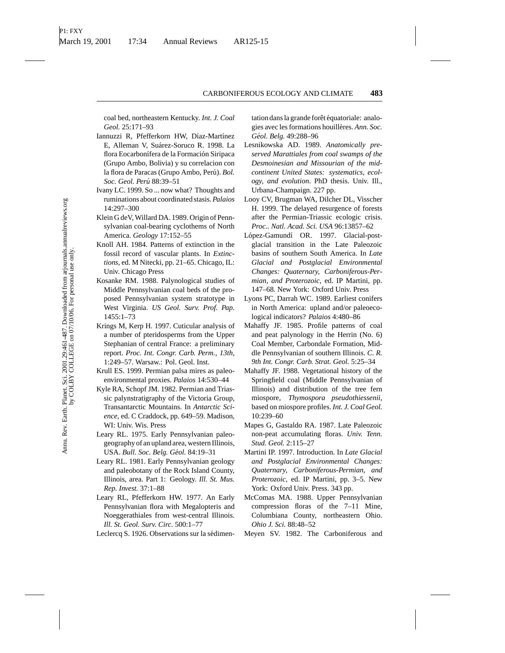coal bed, northeastern Kentucky. *Int. J. Coal Geol.* 25:171–93

- Iannuzzi R, Pfefferkorn HW, Díaz-Martínez E, Alleman V, Suárez-Soruco R. 1998. La flora Eocarbonífera de la Formación Siripaca (Grupo Ambo, Bolivia) y su correlacion con la flora de Paracas (Grupo Ambo, Perú). *Bol. Soc. Geol. Peru´* 88:39–51
- Ivany LC. 1999. So ... now what? Thoughts and ruminations about coordinated stasis.*Palaios* 14:297–300
- Klein G deV, Willard DA. 1989. Origin of Pennsylvanian coal-bearing cyclothems of North America. *Geology* 17:152–55
- Knoll AH. 1984. Patterns of extinction in the fossil record of vascular plants. In *Extinctions*, ed. M Nitecki, pp. 21–65. Chicago, IL: Univ. Chicago Press
- Kosanke RM. 1988. Palynological studies of Middle Pennsylvanian coal beds of the proposed Pennsylvanian system stratotype in West Virginia. *US Geol. Surv. Prof. Pap.* 1455:1–73
- Krings M, Kerp H. 1997. Cuticular analysis of a number of pteridosperms from the Upper Stephanian of central France: a preliminary report. *Proc. Int. Congr. Carb. Perm., 13th,* 1:249–57. Warsaw.: Pol. Geol. Inst.
- Krull ES. 1999. Permian palsa mires as paleoenvironmental proxies. *Palaios* 14:530–44
- Kyle RA, Schopf JM. 1982. Permian and Triassic palynstratigraphy of the Victoria Group, Transantarctic Mountains. In *Antarctic Science*, ed. C Craddock, pp. 649–59. Madison, WI: Univ. Wis. Press
- Leary RL. 1975. Early Pennsylvanian paleogeography of an upland area, western Illinois, USA. *Bull. Soc. Belg. Geol. ´* 84:19–31
- Leary RL. 1981. Early Pennsylvanian geology and paleobotany of the Rock Island County, Illinois, area. Part 1: Geology. *Ill. St. Mus. Rep. Invest.* 37:1–88
- Leary RL, Pfefferkorn HW. 1977. An Early Pennsylvanian flora with Megalopteris and Noeggerathiales from west-central Illinois. *Ill. St. Geol. Surv. Circ.* 500:1–77
- Leclercq S. 1926. Observations sur la sédimen-

tation dans la grande forêt équatoriale: analogies avec les formations houillères. *Ann. Soc. Geol. Belg. ´* 49:288–96

- Lesnikowska AD. 1989. *Anatomically preserved Marattiales from coal swamps of the Desmoinesian and Missourian of the midcontinent United States: systematics, ecology, and evolution*. PhD thesis. Univ. Ill., Urbana-Champaign. 227 pp.
- Looy CV, Brugman WA, Dilcher DL, Visscher H. 1999. The delayed resurgence of forests after the Permian-Triassic ecologic crisis. *Proc.. Natl. Acad. Sci. USA* 96:13857–62
- López-Gamundí OR. 1997. Glacial-postglacial transition in the Late Paleozoic basins of southern South America. In *Late Glacial and Postglacial Environmental Changes: Quaternary, Carboniferous-Permian, and Proterozoic*, ed. IP Martini, pp. 147–68. New York: Oxford Univ. Press
- Lyons PC, Darrah WC. 1989. Earliest conifers in North America: upland and/or paleoecological indicators? *Palaios* 4:480–86
- Mahaffy JF. 1985. Profile patterns of coal and peat palynology in the Herrin (No. 6) Coal Member, Carbondale Formation, Middle Pennsylvanian of southern Illinois. *C. R. 9th Int. Congr. Carb. Strat. Geol.* 5:25–34
- Mahaffy JF. 1988. Vegetational history of the Springfield coal (Middle Pennsylvanian of Illinois) and distribution of the tree fern miospore, *Thymospora pseudothiessenii*, based on miospore profiles. *Int. J. Coal Geol.* 10:239–60
- Mapes G, Gastaldo RA. 1987. Late Paleozoic non-peat accumulating floras. *Univ. Tenn. Stud. Geol.* 2:115–27
- Martini IP. 1997. Introduction. In *Late Glacial and Postglacial Environmental Changes: Quaternary, Carboniferous-Permian, and Proterozoic*, ed. IP Martini, pp. 3–5. New York: Oxford Univ. Press. 343 pp.
- McComas MA. 1988. Upper Pennsylvanian compression floras of the 7–11 Mine, Columbiana County, northeastern Ohio. *Ohio J. Sci.* 88:48–52
- Meyen SV. 1982. The Carboniferous and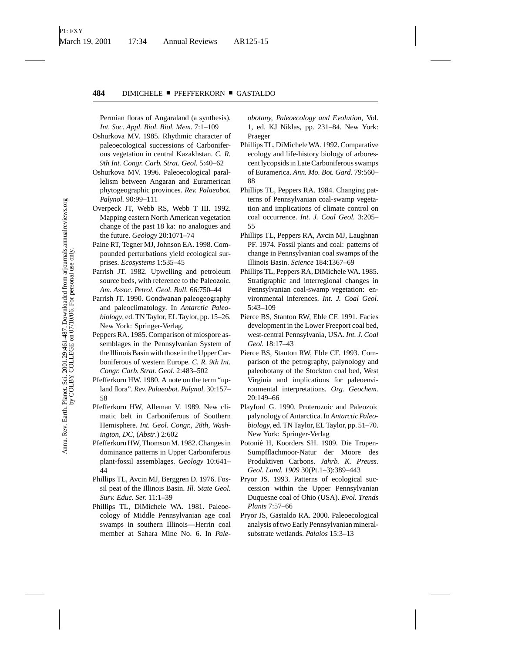Permian floras of Angaraland (a synthesis). *Int. Soc. Appl. Biol. Biol. Mem.* 7:1–109

- Oshurkova MV. 1985. Rhythmic character of paleoecological successions of Carboniferous vegetation in central Kazakhstan. *C. R. 9th Int. Congr. Carb. Strat. Geol.* 5:40–62
- Oshurkova MV. 1996. Paleoecological parallelism between Angaran and Euramerican phytogeographic provinces. *Rev. Palaeobot. Palynol.* 90:99–111
- Overpeck JT, Webb RS, Webb T III. 1992. Mapping eastern North American vegetation change of the past 18 ka: no analogues and the future. *Geology* 20:1071–74
- Paine RT, Tegner MJ, Johnson EA. 1998. Compounded perturbations yield ecological surprises. *Ecosystems* 1:535–45
- Parrish JT. 1982. Upwelling and petroleum source beds, with reference to the Paleozoic. *Am. Assoc. Petrol. Geol. Bull.* 66:750–44
- Parrish JT. 1990. Gondwanan paleogeography and paleoclimatology. In *Antarctic Paleobiology*, ed. TN Taylor, EL Taylor, pp. 15–26. New York: Springer-Verlag.
- Peppers RA. 1985. Comparison of miospore assemblages in the Pennsylvanian System of the Illinois Basin with those in the Upper Carboniferous of western Europe. *C. R. 9th Int. Congr. Carb. Strat. Geol.* 2:483–502
- Pfefferkorn HW. 1980. A note on the term "upland flora". *Rev. Palaeobot. Palynol.* 30:157– 58
- Pfefferkorn HW, Alleman V. 1989. New climatic belt in Carboniferous of Southern Hemisphere. *Int. Geol. Congr., 28th, Washington, DC,* (*Abstr*.) 2:602
- Pfefferkorn HW, Thomson M. 1982. Changes in dominance patterns in Upper Carboniferous plant-fossil assemblages. *Geology* 10:641– 44
- Phillips TL, Avcin MJ, Berggren D. 1976. Fossil peat of the Illinois Basin. *Ill. State Geol. Surv. Educ. Ser.* 11:1–39
- Phillips TL, DiMichele WA. 1981. Paleoecology of Middle Pennsylvanian age coal swamps in southern Illinois—Herrin coal member at Sahara Mine No. 6. In *Pale-*

*obotany, Paleoecology and Evolution*, Vol. 1, ed. KJ Niklas, pp. 231–84. New York: Praeger

- Phillips TL, DiMichele WA. 1992. Comparative ecology and life-history biology of arborescent lycopsids in Late Carboniferous swamps of Euramerica. *Ann. Mo. Bot. Gard.* 79:560– 88
- Phillips TL, Peppers RA. 1984. Changing patterns of Pennsylvanian coal-swamp vegetation and implications of climate control on coal occurrence. *Int. J. Coal Geol.* 3:205– 55
- Phillips TL, Peppers RA, Avcin MJ, Laughnan PF. 1974. Fossil plants and coal: patterns of change in Pennsylvanian coal swamps of the Illinois Basin. *Science* 184:1367–69
- Phillips TL, Peppers RA, DiMichele WA. 1985. Stratigraphic and interregional changes in Pennsylvanian coal-swamp vegetation: environmental inferences. *Int. J. Coal Geol.* 5:43–109
- Pierce BS, Stanton RW, Eble CF. 1991. Facies development in the Lower Freeport coal bed, west-central Pennsylvania, USA. *Int. J. Coal Geol.* 18:17–43
- Pierce BS, Stanton RW, Eble CF. 1993. Comparison of the petrography, palynology and paleobotany of the Stockton coal bed, West Virginia and implications for paleoenvironmental interpretations. *Org. Geochem.* 20:149–66
- Playford G. 1990. Proterozoic and Paleozoic palynology of Antarctica. In *Antarctic Paleobiology*, ed. TN Taylor, EL Taylor, pp. 51–70. New York: Springer-Verlag
- Potonié H, Koorders SH. 1909. Die Tropen-Sumpfflachmoor-Natur der Moore des Produktiven Carbons. *Jahrb. K. Preuss. Geol. Land. 1909* 30(Pt.1–3):389–443
- Pryor JS. 1993. Patterns of ecological succession within the Upper Pennsylvanian Duquesne coal of Ohio (USA). *Evol. Trends Plants* 7:57–66
- Pryor JS, Gastaldo RA. 2000. Paleoecological analysis of two Early Pennsylvanian mineralsubstrate wetlands. *Palaios* 15:3–13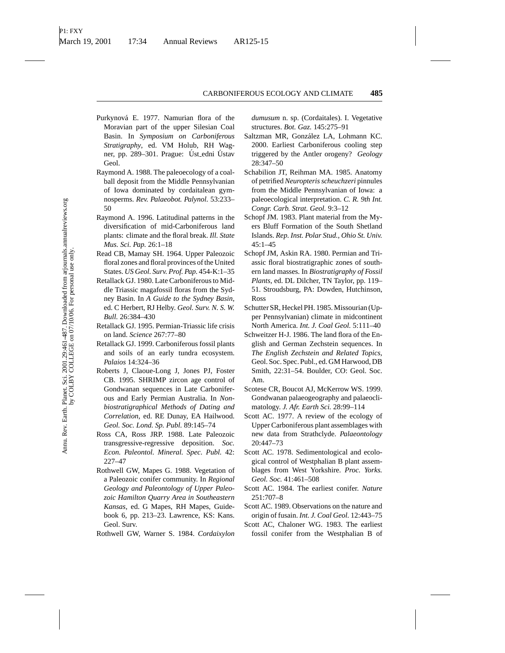- Purkynová E. 1977. Namurian flora of the Moravian part of the upper Silesian Coal Basin. In *Symposium on Carboniferous Stratigraphy*, ed. VM Holub, RH Wagner, pp. 289–301. Prague: Úst edni Ústav Geol.
- Raymond A. 1988. The paleoecology of a coalball deposit from the Middle Pennsylvanian of Iowa dominated by cordaitalean gymnosperms. *Rev. Palaeobot. Palynol.* 53:233– 50
- Raymond A. 1996. Latitudinal patterns in the diversification of mid-Carboniferous land plants: climate and the floral break. *Ill. State Mus. Sci. Pap.* 26:1–18
- Read CB, Mamay SH. 1964. Upper Paleozoic floral zones and floral provinces of the United States. *US Geol. Surv. Prof. Pap.* 454-K:1–35
- Retallack GJ. 1980. Late Carboniferous to Middle Triassic magafossil floras from the Sydney Basin. In *A Guide to the Sydney Basin*, ed. C Herbert, RJ Helby. *Geol. Surv. N. S. W. Bull.* 26:384–430
- Retallack GJ. 1995. Permian-Triassic life crisis on land. *Science* 267:77–80
- Retallack GJ. 1999. Carboniferous fossil plants and soils of an early tundra ecosystem. *Palaios* 14:324–36
- Roberts J, Claoue-Long J, Jones PJ, Foster CB. 1995. SHRIMP zircon age control of Gondwanan sequences in Late Carboniferous and Early Permian Australia. In *Nonbiostratigraphical Methods of Dating and Correlation*, ed. RE Dunay, EA Hailwood. *Geol. Soc. Lond. Sp. Publ.* 89:145–74
- Ross CA, Ross JRP. 1988. Late Paleozoic transgressive-regressive deposition. *Soc. Econ. Paleontol. Mineral. Spec. Publ.* 42: 227–47
- Rothwell GW, Mapes G. 1988. Vegetation of a Paleozoic conifer community. In *Regional Geology and Paleontology of Upper Paleozoic Hamilton Quarry Area in Southeastern Kansas*, ed. G Mapes, RH Mapes, Guidebook 6, pp. 213–23. Lawrence, KS: Kans. Geol. Surv.
- Rothwell GW, Warner S. 1984. *Cordaixylon*

*dumusum* n. sp. (Cordaitales). I. Vegetative structures. *Bot. Gaz.* 145:275–91

- Saltzman MR, González LA, Lohmann KC. 2000. Earliest Carboniferous cooling step triggered by the Antler orogeny? *Geology* 28:347–50
- Schabilion JT, Reihman MA. 1985. Anatomy of petrified *Neuropteris scheuchzeri* pinnules from the Middle Pennsylvanian of Iowa: a paleoecological interpretation. *C. R. 9th Int. Congr. Carb. Strat. Geol.* 9:3–12
- Schopf JM. 1983. Plant material from the Myers Bluff Formation of the South Shetland Islands. *Rep. Inst. Polar Stud., Ohio St. Univ.* 45:1–45
- Schopf JM, Askin RA. 1980. Permian and Triassic floral biostratigraphic zones of southern land masses. In *Biostratigraphy of Fossil Plants*, ed. DL Dilcher, TN Taylor, pp. 119– 51. Stroudsburg, PA: Dowden, Hutchinson, Ross
- Schutter SR, Heckel PH. 1985. Missourian (Upper Pennsylvanian) climate in midcontinent North America. *Int. J. Coal Geol.* 5:111–40
- Schweitzer H-J. 1986. The land flora of the English and German Zechstein sequences. In *The English Zechstein and Related Topics*, Geol. Soc. Spec. Publ., ed. GM Harwood, DB Smith, 22:31–54. Boulder, CO: Geol. Soc. Am.
- Scotese CR, Boucot AJ, McKerrow WS. 1999. Gondwanan palaeogeography and palaeoclimatology. *J. Afr. Earth Sci.* 28:99–114
- Scott AC. 1977. A review of the ecology of Upper Carboniferous plant assemblages with new data from Strathclyde. *Palaeontology* 20:447–73
- Scott AC. 1978. Sedimentological and ecological control of Westphalian B plant assemblages from West Yorkshire. *Proc. Yorks. Geol. Soc.* 41:461–508
- Scott AC. 1984. The earliest conifer. *Nature* 251:707–8
- Scott AC. 1989. Observations on the nature and origin of fusain. *Int. J. Coal Geol.* 12:443–75
- Scott AC, Chaloner WG. 1983. The earliest fossil conifer from the Westphalian B of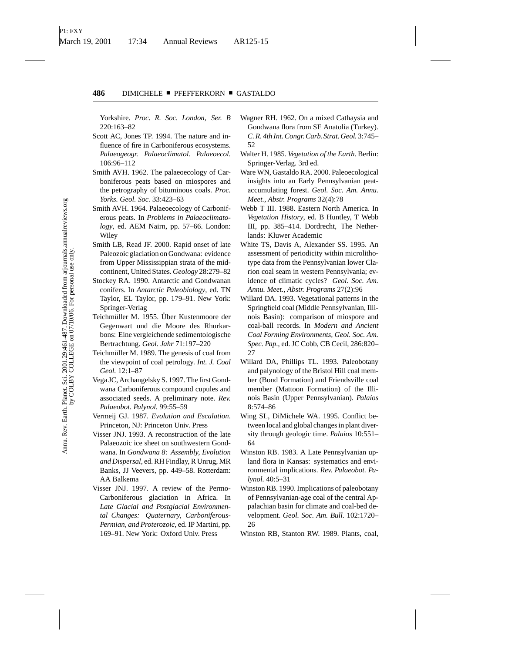Yorkshire. *Proc. R. Soc. London, Ser. B* 220:163–82

- Scott AC, Jones TP. 1994. The nature and influence of fire in Carboniferous ecosystems. *Palaeogeogr. Palaeoclimatol. Palaeoecol.* 106:96–112
- Smith AVH. 1962. The palaeoecology of Carboniferous peats based on miospores and the petrography of bituminous coals. *Proc. Yorks. Geol. Soc.* 33:423–63
- Smith AVH. 1964. Palaeoecology of Carboniferous peats. In *Problems in Palaeoclimatology*, ed. AEM Nairn, pp. 57–66. London: **Wiley**
- Smith LB, Read JF. 2000. Rapid onset of late Paleozoic glaciation on Gondwana: evidence from Upper Mississippian strata of the midcontinent, United States. *Geology* 28:279–82
- Stockey RA. 1990. Antarctic and Gondwanan conifers. In *Antarctic Paleobiology*, ed. TN Taylor, EL Taylor, pp. 179–91. New York: Springer-Verlag
- Teichmüller M. 1955. Über Kustenmoore der Gegenwart und die Moore des Rhurkarbons: Eine vergleichende sedimentologische Bertrachtung. *Geol. Jahr* 71:197–220
- Teichmüller M. 1989. The genesis of coal from the viewpoint of coal petrology. *Int. J. Coal Geol.* 12:1–87
- Vega JC, Archangelsky S. 1997. The first Gondwana Carboniferous compound cupules and associated seeds. A preliminary note. *Rev. Palaeobot. Palynol.* 99:55–59
- Vermeij GJ. 1987. *Evolution and Escalation*. Princeton, NJ: Princeton Univ. Press
- Visser JNJ. 1993. A reconstruction of the late Palaeozoic ice sheet on southwestern Gondwana. In *Gondwana 8: Assembly, Evolution and Dispersal*, ed. RH Findlay, R Unrug, MR Banks, JJ Veevers, pp. 449–58. Rotterdam: AA Balkema
- Visser JNJ. 1997. A review of the Permo-Carboniferous glaciation in Africa. In *Late Glacial and Postglacial Environmental Changes: Quaternary, Carboniferous-Permian, and Proterozoic*, ed. IP Martini, pp. 169–91. New York: Oxford Univ. Press
- Wagner RH. 1962. On a mixed Cathaysia and Gondwana flora from SE Anatolia (Turkey). *C. R. 4th Int. Congr. Carb. Strat. Geol.* 3:745– 52
- Walter H. 1985. *Vegetation of the Earth*. Berlin: Springer-Verlag. 3rd ed.
- Ware WN, Gastaldo RA. 2000. Paleoecological insights into an Early Pennsylvanian peataccumulating forest. *Geol. Soc. Am. Annu. Meet., Abstr. Programs* 32(4):78
- Webb T III. 1988. Eastern North America. In *Vegetation History*, ed. B Huntley, T Webb III, pp. 385–414. Dordrecht, The Netherlands: Kluwer Academic
- White TS, Davis A, Alexander SS. 1995. An assessment of periodicity within microlithotype data from the Pennsylvanian lower Clarion coal seam in western Pennsylvania; evidence of climatic cycles? *Geol. Soc. Am. Annu. Meet., Abstr. Programs* 27(2):96
- Willard DA. 1993. Vegetational patterns in the Springfield coal (Middle Pennsylvanian, Illinois Basin): comparison of miospore and coal-ball records. In *Modern and Ancient Coal Forming Environments, Geol. Soc. Am. Spec. Pap*., ed. JC Cobb, CB Cecil, 286:820– 27
- Willard DA, Phillips TL. 1993. Paleobotany and palynology of the Bristol Hill coal member (Bond Formation) and Friendsville coal member (Mattoon Formation) of the Illinois Basin (Upper Pennsylvanian). *Palaios* 8:574–86
- Wing SL, DiMichele WA. 1995. Conflict between local and global changes in plant diversity through geologic time. *Palaios* 10:551– 64
- Winston RB. 1983. A Late Pennsylvanian upland flora in Kansas: systematics and environmental implications. *Rev. Palaeobot. Palynol.* 40:5–31
- Winston RB. 1990. Implications of paleobotany of Pennsylvanian-age coal of the central Appalachian basin for climate and coal-bed development. *Geol. Soc. Am. Bull.* 102:1720–  $26$
- Winston RB, Stanton RW. 1989. Plants, coal,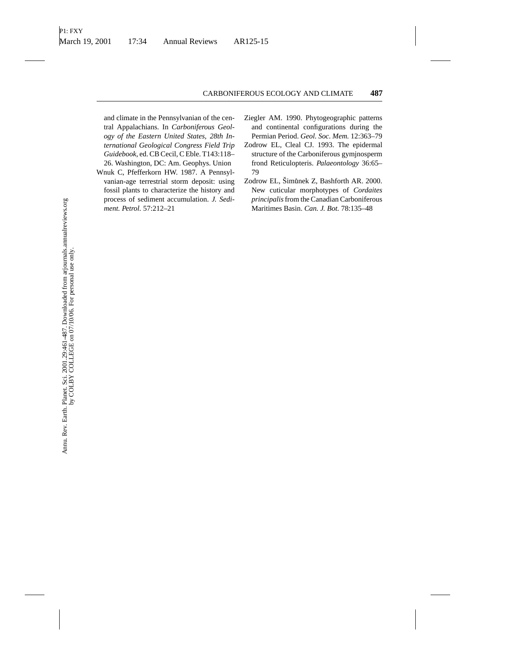and climate in the Pennsylvanian of the central Appalachians. In *Carboniferous Geology of the Eastern United States, 28th International Geological Congress Field Trip Guidebook*, ed. CB Cecil, C Eble. T143:118– 26. Washington, DC: Am. Geophys. Union

- Wnuk C, Pfefferkorn HW. 1987. A Pennsylvanian-age terrestrial storm deposit: using fossil plants to characterize the history and process of sediment accumulation. *J. Sediment. Petrol.* 57:212–21
- Ziegler AM. 1990. Phytogeographic patterns and continental configurations during the Permian Period. *Geol. Soc. Mem.* 12:363–79
- Zodrow EL, Cleal CJ. 1993. The epidermal structure of the Carboniferous gymjnosperm frond Reticulopteris. *Palaeontology* 36:65– 79
- Zodrow EL, Šimůnek Z, Bashforth AR, 2000. New cuticular morphotypes of *Cordaites principalis*from the Canadian Carboniferous Maritimes Basin. *Can. J. Bot.* 78:135–48